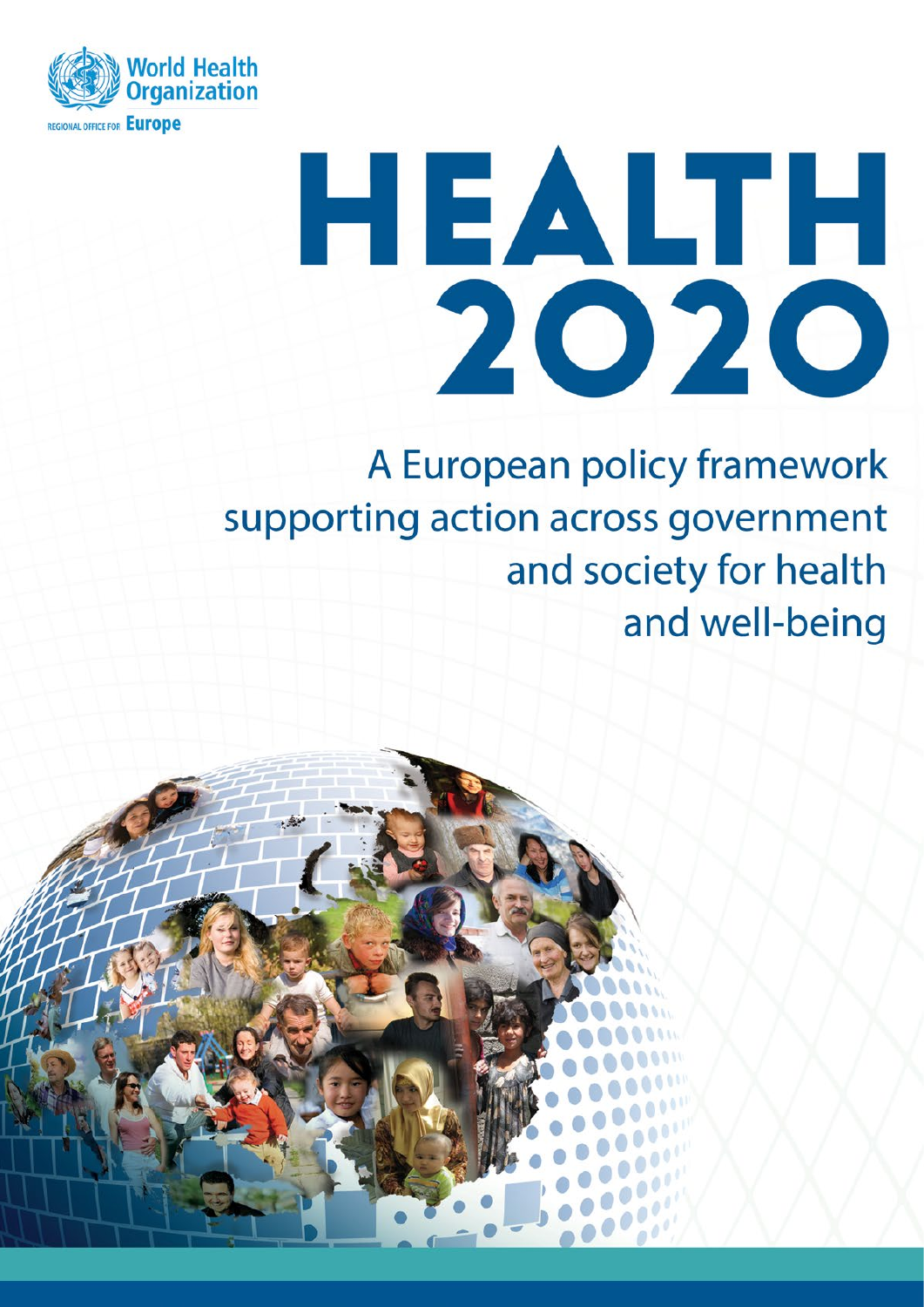

# HEALTH<br>2020

A European policy framework supporting action across government and society for health and well-being

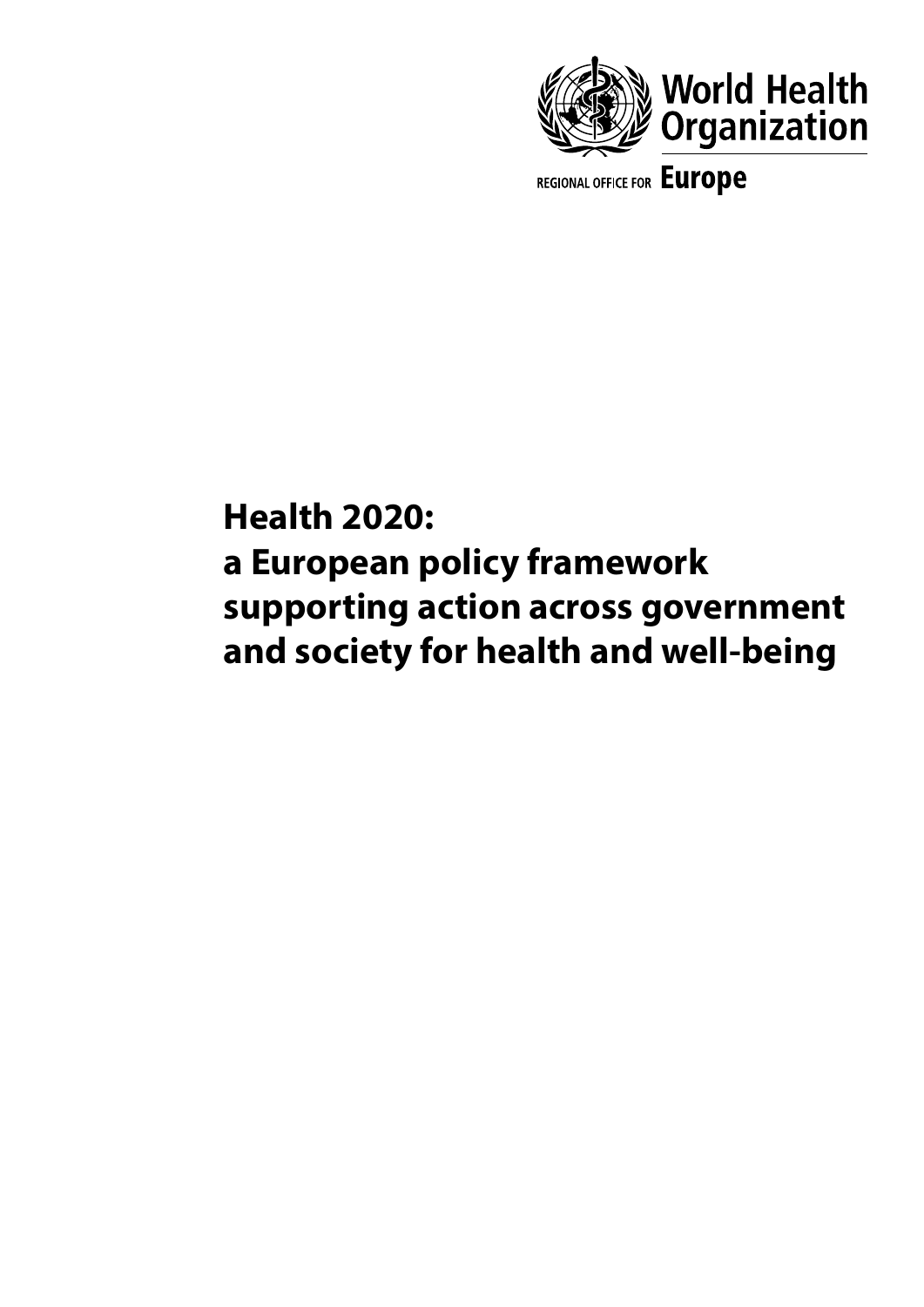

REGIONAL OFFICE FOR Europe

# **Health 2020: a European policy framework supporting action across government and society for health and well-being**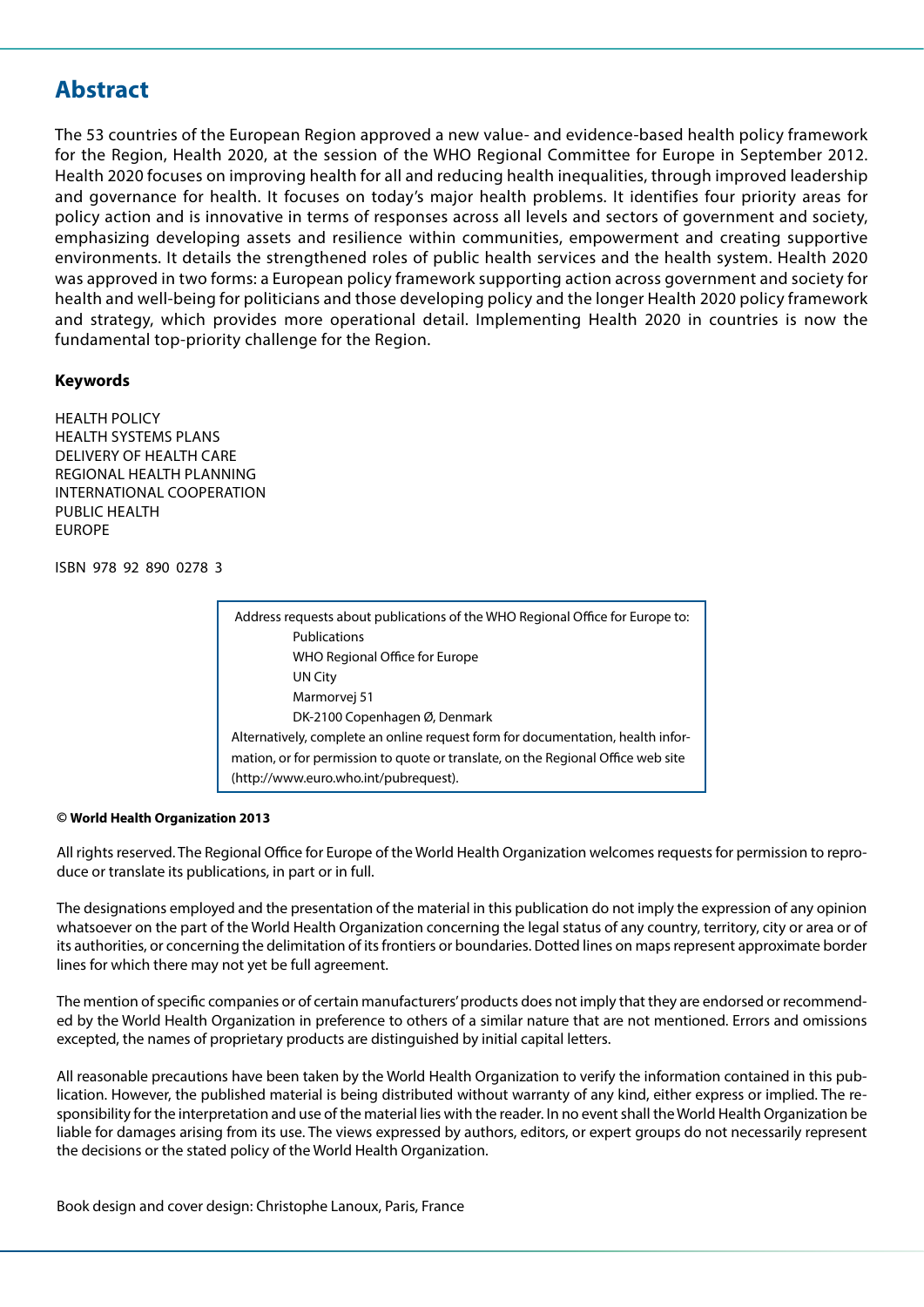## **Abstract**

The 53 countries of the European Region approved a new value- and evidence-based health policy framework for the Region, Health 2020, at the session of the WHO Regional Committee for Europe in September 2012. Health 2020 focuses on improving health for all and reducing health inequalities, through improved leadership and governance for health. It focuses on today's major health problems. It identifies four priority areas for policy action and is innovative in terms of responses across all levels and sectors of government and society, emphasizing developing assets and resilience within communities, empowerment and creating supportive environments. It details the strengthened roles of public health services and the health system. Health 2020 was approved in two forms: a European policy framework supporting action across government and society for health and well-being for politicians and those developing policy and the longer Health 2020 policy framework and strategy, which provides more operational detail. Implementing Health 2020 in countries is now the fundamental top-priority challenge for the Region.

### **Keywords**

Health policy Health systems plans Delivery of health care Regional health planning International cooperation Public health **EUROPE** 

isbn 978 92 890 0278 3

| Address requests about publications of the WHO Regional Office for Europe to:    |
|----------------------------------------------------------------------------------|
| Publications                                                                     |
| WHO Regional Office for Europe                                                   |
| UN City                                                                          |
| Marmorvej 51                                                                     |
| DK-2100 Copenhagen Ø, Denmark                                                    |
| Alternatively, complete an online request form for documentation, health infor-  |
| mation, or for permission to quote or translate, on the Regional Office web site |
| (http://www.euro.who.int/pubrequest).                                            |

### **© World Health Organization 2013**

All rights reserved. The Regional Office for Europe of the World Health Organization welcomes requests for permission to reproduce or translate its publications, in part or in full.

The designations employed and the presentation of the material in this publication do not imply the expression of any opinion whatsoever on the part of the World Health Organization concerning the legal status of any country, territory, city or area or of its authorities, or concerning the delimitation of its frontiers or boundaries. Dotted lines on maps represent approximate border lines for which there may not yet be full agreement.

The mention of specific companies or of certain manufacturers' products does not imply that they are endorsed or recommended by the World Health Organization in preference to others of a similar nature that are not mentioned. Errors and omissions excepted, the names of proprietary products are distinguished by initial capital letters.

All reasonable precautions have been taken by the World Health Organization to verify the information contained in this publication. However, the published material is being distributed without warranty of any kind, either express or implied. The responsibility for the interpretation and use of the material lies with the reader. In no event shall the World Health Organization be liable for damages arising from its use. The views expressed by authors, editors, or expert groups do not necessarily represent the decisions or the stated policy of the World Health Organization.

Book design and cover design: Christophe Lanoux, Paris, France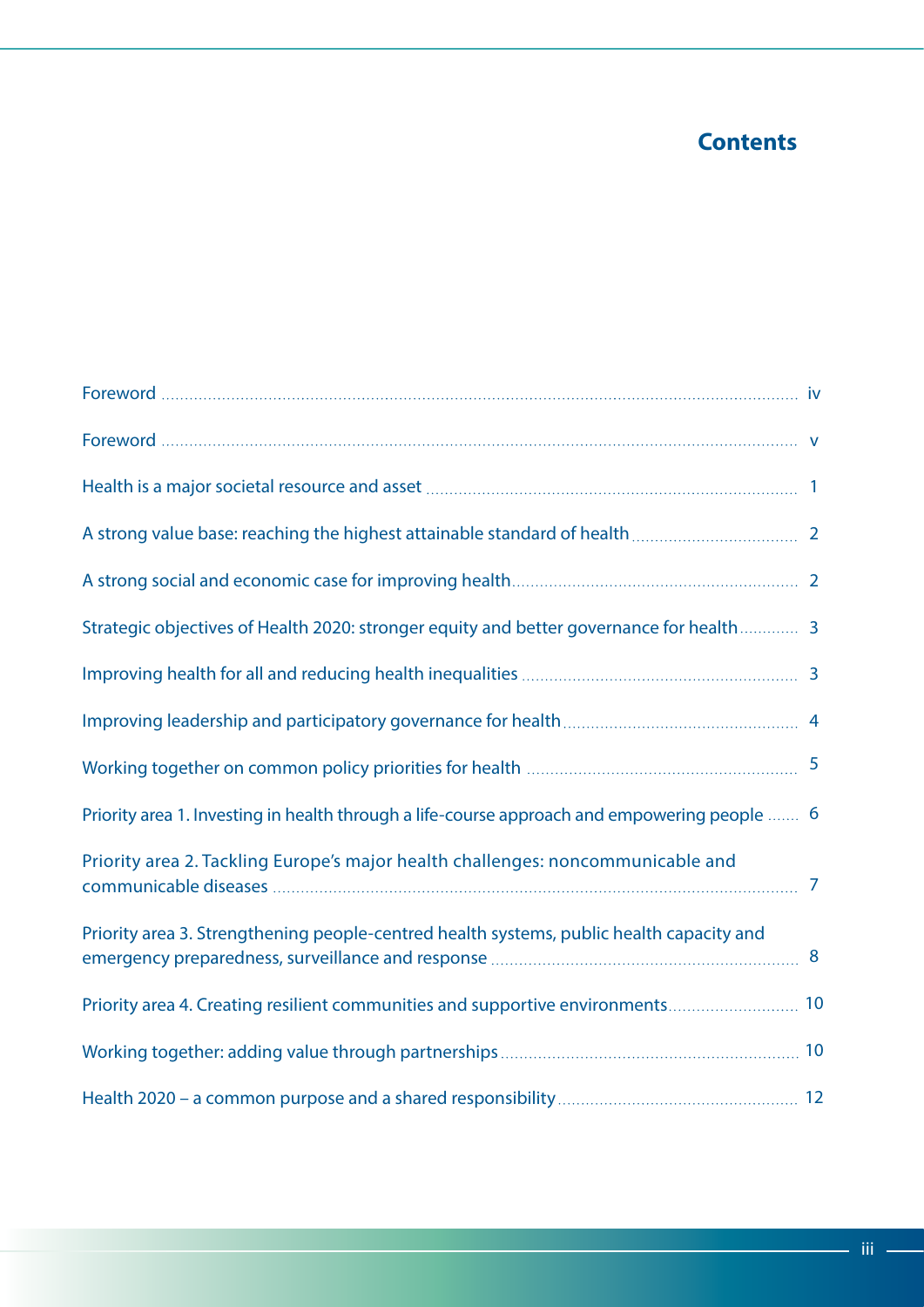# **Contents**

| Strategic objectives of Health 2020: stronger equity and better governance for health 3      |  |
|----------------------------------------------------------------------------------------------|--|
|                                                                                              |  |
|                                                                                              |  |
|                                                                                              |  |
| Priority area 1. Investing in health through a life-course approach and empowering people  6 |  |
| Priority area 2. Tackling Europe's major health challenges: noncommunicable and              |  |
| Priority area 3. Strengthening people-centred health systems, public health capacity and     |  |
| Priority area 4. Creating resilient communities and supportive environments 10               |  |
|                                                                                              |  |
|                                                                                              |  |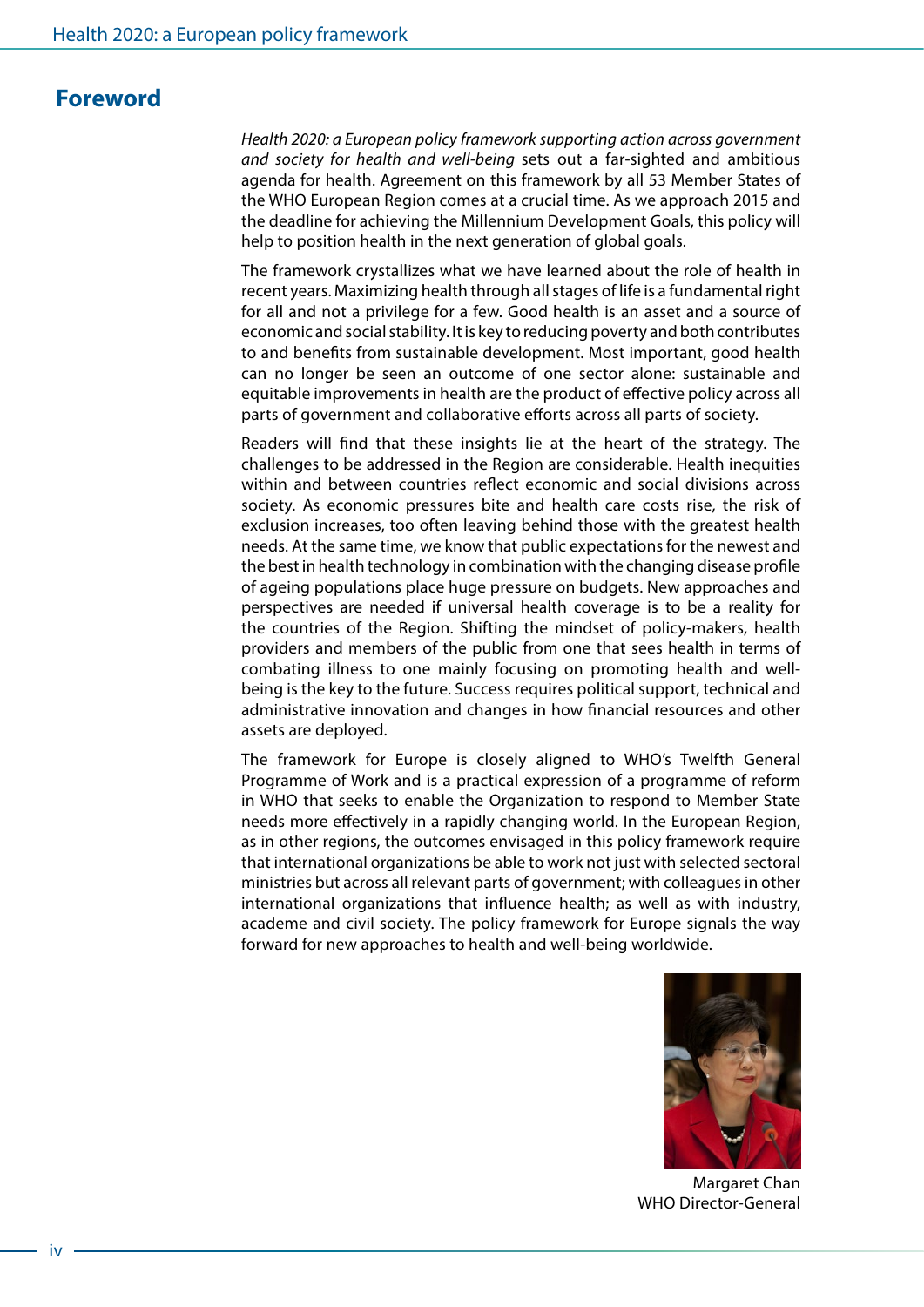### **Foreword**

*Health 2020: a European policy framework supporting action across government and society for health and well-being* sets out a far-sighted and ambitious agenda for health. Agreement on this framework by all 53 Member States of the WHO European Region comes at a crucial time. As we approach 2015 and the deadline for achieving the Millennium Development Goals, this policy will help to position health in the next generation of global goals.

The framework crystallizes what we have learned about the role of health in recent years. Maximizing health through all stages of life is a fundamental right for all and not a privilege for a few. Good health is an asset and a source of economic and social stability. It is key to reducing poverty and both contributes to and benefits from sustainable development. Most important, good health can no longer be seen an outcome of one sector alone: sustainable and equitable improvements in health are the product of effective policy across all parts of government and collaborative efforts across all parts of society.

Readers will find that these insights lie at the heart of the strategy. The challenges to be addressed in the Region are considerable. Health inequities within and between countries reflect economic and social divisions across society. As economic pressures bite and health care costs rise, the risk of exclusion increases, too often leaving behind those with the greatest health needs. At the same time, we know that public expectations for the newest and the best in health technology in combination with the changing disease profile of ageing populations place huge pressure on budgets. New approaches and perspectives are needed if universal health coverage is to be a reality for the countries of the Region. Shifting the mindset of policy-makers, health providers and members of the public from one that sees health in terms of combating illness to one mainly focusing on promoting health and wellbeing is the key to the future. Success requires political support, technical and administrative innovation and changes in how financial resources and other assets are deployed.

The framework for Europe is closely aligned to WHO's Twelfth General Programme of Work and is a practical expression of a programme of reform in WHO that seeks to enable the Organization to respond to Member State needs more effectively in a rapidly changing world. In the European Region, as in other regions, the outcomes envisaged in this policy framework require that international organizations be able to work not just with selected sectoral ministries but across all relevant parts of government; with colleagues in other international organizations that influence health; as well as with industry, academe and civil society. The policy framework for Europe signals the way forward for new approaches to health and well-being worldwide.



Margaret Chan WHO Director-General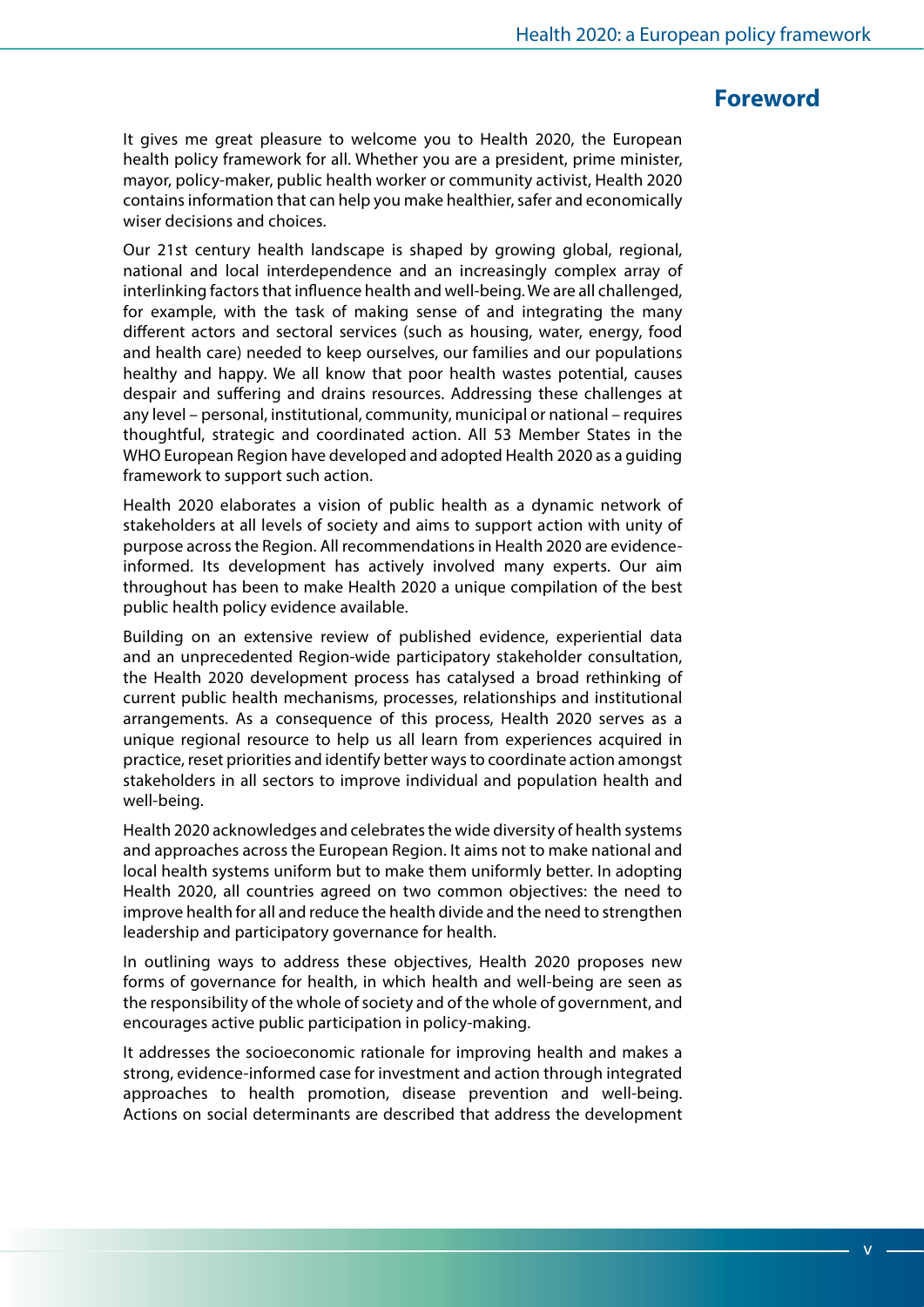### **Foreword**

It gives me great pleasure to welcome you to Health 2020, the European health policy framework for all. Whether you are a president, prime minister, mayor, policy-maker, public health worker or community activist, Health 2020 contains information that can help you make healthier, safer and economically wiser decisions and choices.

Our 21st century health landscape is shaped by growing global, regional, national and local interdependence and an increasingly complex array of interlinking factors that influence health and well-being. We are all challenged, for example, with the task of making sense of and integrating the many different actors and sectoral services (such as housing, water, energy, food and health care) needed to keep ourselves, our families and our populations healthy and happy. We all know that poor health wastes potential, causes despair and suffering and drains resources. Addressing these challenges at any level – personal, institutional, community, municipal or national – requires thoughtful, strategic and coordinated action. All 53 Member States in the WHO European Region have developed and adopted Health 2020 as a guiding framework to support such action.

Health 2020 elaborates a vision of public health as a dynamic network of stakeholders at all levels of society and aims to support action with unity of purpose across the Region. All recommendations in Health 2020 are evidenceinformed. Its development has actively involved many experts. Our aim throughout has been to make Health 2020 a unique compilation of the best public health policy evidence available.

Building on an extensive review of published evidence, experiential data and an unprecedented Region-wide participatory stakeholder consultation, the Health 2020 development process has catalysed a broad rethinking of current public health mechanisms, processes, relationships and institutional arrangements. As a consequence of this process, Health 2020 serves as a unique regional resource to help us all learn from experiences acquired in practice, reset priorities and identify better ways to coordinate action amongst stakeholders in all sectors to improve individual and population health and well-being.

Health 2020 acknowledges and celebrates the wide diversity of health systems and approaches across the European Region. It aims not to make national and local health systems uniform but to make them uniformly better. In adopting Health 2020, all countries agreed on two common objectives: the need to improve health for all and reduce the health divide and the need to strengthen leadership and participatory governance for health.

In outlining ways to address these objectives, Health 2020 proposes new forms of governance for health, in which health and well-being are seen as the responsibility of the whole of society and of the whole of government, and encourages active public participation in policy-making.

It addresses the socioeconomic rationale for improving health and makes a strong, evidence-informed case for investment and action through integrated approaches to health promotion, disease prevention and well-being. Actions on social determinants are described that address the development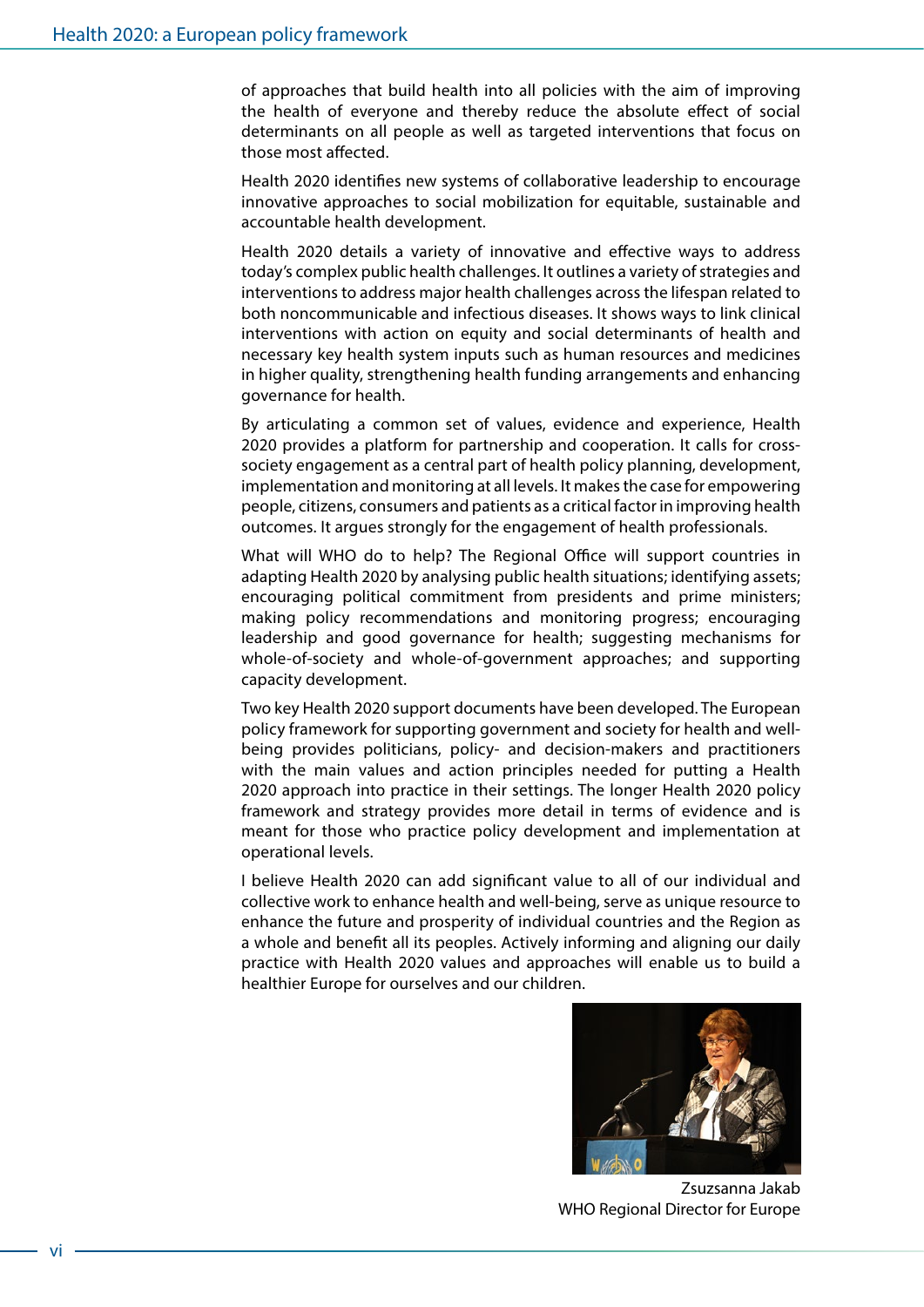of approaches that build health into all policies with the aim of improving the health of everyone and thereby reduce the absolute effect of social determinants on all people as well as targeted interventions that focus on those most affected.

Health 2020 identifies new systems of collaborative leadership to encourage innovative approaches to social mobilization for equitable, sustainable and accountable health development.

Health 2020 details a variety of innovative and effective ways to address today's complex public health challenges. It outlines a variety of strategies and interventions to address major health challenges across the lifespan related to both noncommunicable and infectious diseases. It shows ways to link clinical interventions with action on equity and social determinants of health and necessary key health system inputs such as human resources and medicines in higher quality, strengthening health funding arrangements and enhancing governance for health.

By articulating a common set of values, evidence and experience, Health 2020 provides a platform for partnership and cooperation. It calls for crosssociety engagement as a central part of health policy planning, development, implementation and monitoring at all levels. It makes the case for empowering people, citizens, consumers and patients as a critical factor in improving health outcomes. It argues strongly for the engagement of health professionals.

What will WHO do to help? The Regional Office will support countries in adapting Health 2020 by analysing public health situations; identifying assets; encouraging political commitment from presidents and prime ministers; making policy recommendations and monitoring progress; encouraging leadership and good governance for health; suggesting mechanisms for whole-of-society and whole-of-government approaches; and supporting capacity development.

Two key Health 2020 support documents have been developed. The European policy framework for supporting government and society for health and wellbeing provides politicians, policy- and decision-makers and practitioners with the main values and action principles needed for putting a Health 2020 approach into practice in their settings. The longer Health 2020 policy framework and strategy provides more detail in terms of evidence and is meant for those who practice policy development and implementation at operational levels.

I believe Health 2020 can add significant value to all of our individual and collective work to enhance health and well-being, serve as unique resource to enhance the future and prosperity of individual countries and the Region as a whole and benefit all its peoples. Actively informing and aligning our daily practice with Health 2020 values and approaches will enable us to build a healthier Europe for ourselves and our children.



Zsuzsanna Jakab WHO Regional Director for Europe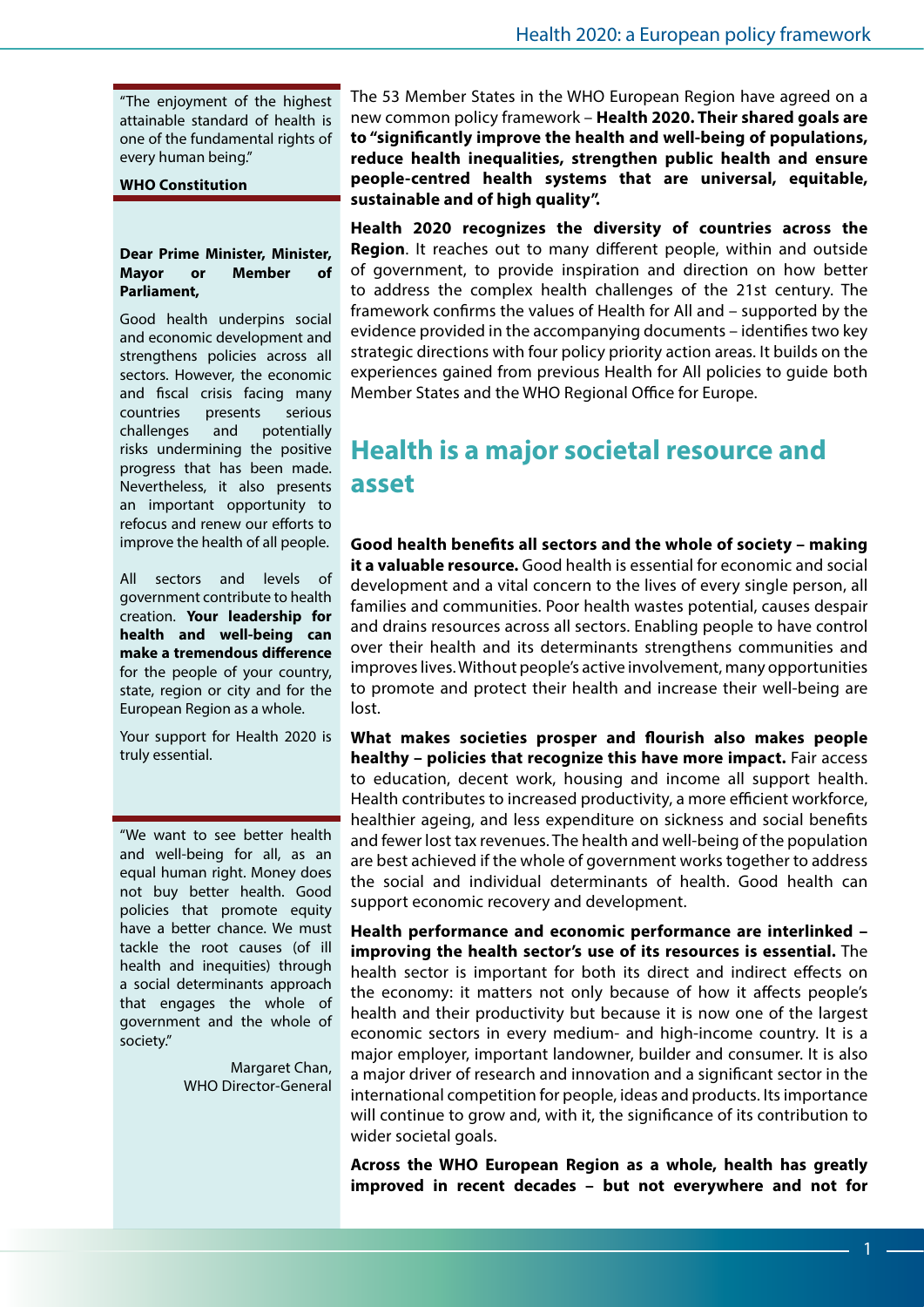"The enjoyment of the highest attainable standard of health is one of the fundamental rights of every human being."

**WHO Constitution**

### **Dear Prime Minister, Minister, Mayor or Member of Parliament,**

Good health underpins social and economic development and strengthens policies across all sectors. However, the economic and fiscal crisis facing many countries presents serious challenges and potentially risks undermining the positive progress that has been made. Nevertheless, it also presents an important opportunity to refocus and renew our efforts to improve the health of all people.

All sectors and levels of government contribute to health creation. **Your leadership for health and well-being can make a tremendous difference** for the people of your country, state, region or city and for the European Region as a whole.

Your support for Health 2020 is truly essential.

"We want to see better health and well-being for all, as an equal human right. Money does not buy better health. Good policies that promote equity have a better chance. We must tackle the root causes (of ill health and inequities) through a social determinants approach that engages the whole of government and the whole of society."

> Margaret Chan, WHO Director-General

The 53 Member States in the WHO European Region have agreed on a new common policy framework – **Health 2020. Their shared goals are to "significantly improve the health and well-being of populations, reduce health inequalities, strengthen public health and ensure people-centred health systems that are universal, equitable, sustainable and of high quality".**

**Health 2020 recognizes the diversity of countries across the Region**. It reaches out to many different people, within and outside of government, to provide inspiration and direction on how better to address the complex health challenges of the 21st century. The framework confirms the values of Health for All and – supported by the evidence provided in the accompanying documents – identifies two key strategic directions with four policy priority action areas. It builds on the experiences gained from previous Health for All policies to guide both Member States and the WHO Regional Office for Europe.

# **Health is a major societal resource and asset**

**Good health benefits all sectors and the whole of society – making it a valuable resource.** Good health is essential for economic and social development and a vital concern to the lives of every single person, all families and communities. Poor health wastes potential, causes despair and drains resources across all sectors. Enabling people to have control over their health and its determinants strengthens communities and improves lives. Without people's active involvement, many opportunities to promote and protect their health and increase their well-being are lost.

**What makes societies prosper and flourish also makes people healthy – policies that recognize this have more impact.** Fair access to education, decent work, housing and income all support health. Health contributes to increased productivity, a more efficient workforce, healthier ageing, and less expenditure on sickness and social benefits and fewer lost tax revenues. The health and well-being of the population are best achieved if the whole of government works together to address the social and individual determinants of health. Good health can support economic recovery and development.

**Health performance and economic performance are interlinked – improving the health sector's use of its resources is essential.** The health sector is important for both its direct and indirect effects on the economy: it matters not only because of how it affects people's health and their productivity but because it is now one of the largest economic sectors in every medium- and high-income country. It is a major employer, important landowner, builder and consumer. It is also a major driver of research and innovation and a significant sector in the international competition for people, ideas and products. Its importance will continue to grow and, with it, the significance of its contribution to wider societal goals.

**Across the WHO European Region as a whole, health has greatly improved in recent decades – but not everywhere and not for**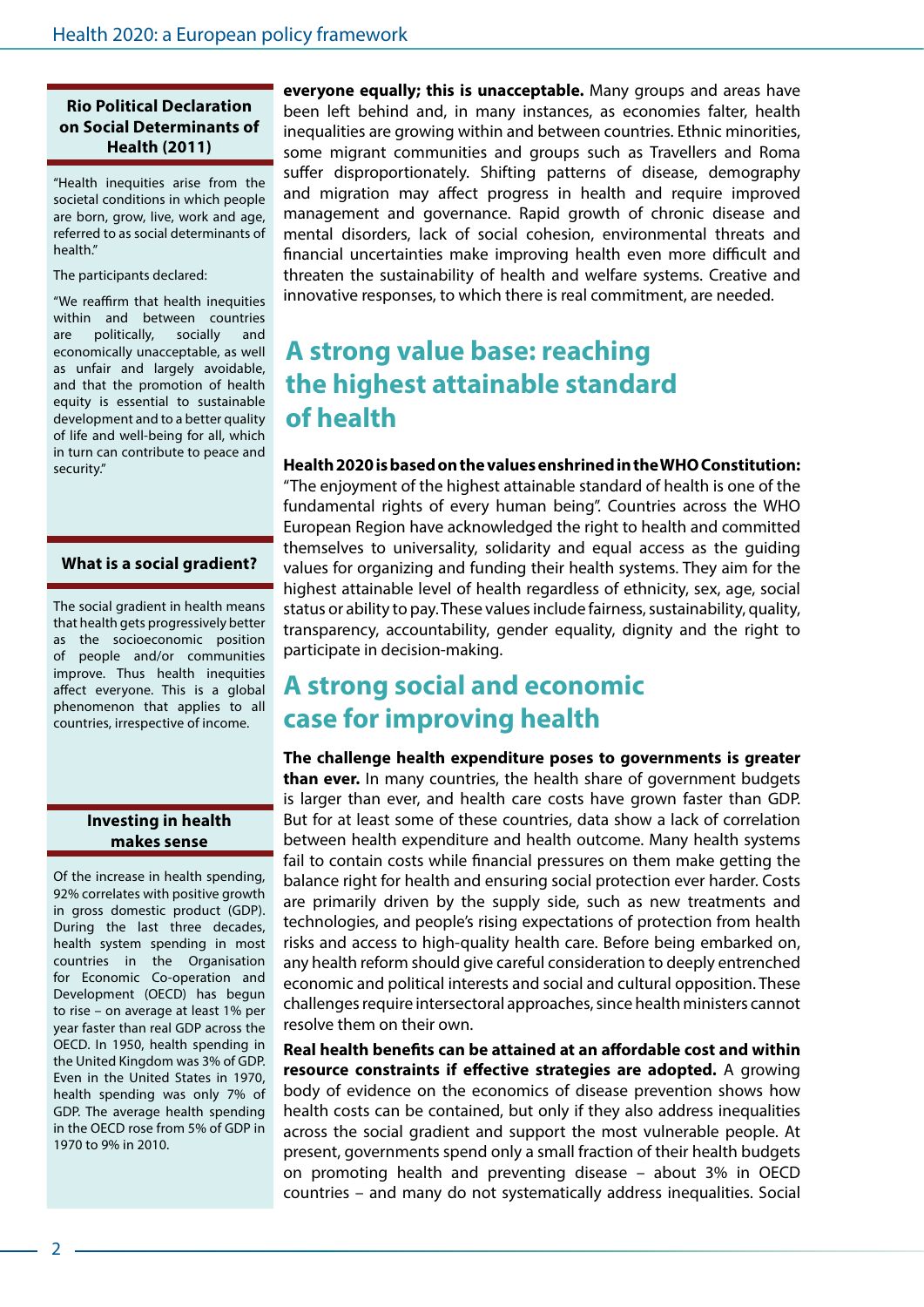### **Rio Political Declaration on Social Determinants of Health (2011)**

"Health inequities arise from the societal conditions in which people are born, grow, live, work and age, referred to as social determinants of health."

The participants declared:

"We reaffirm that health inequities within and between countries are politically, socially and economically unacceptable, as well as unfair and largely avoidable, and that the promotion of health equity is essential to sustainable development and to a better quality of life and well-being for all, which in turn can contribute to peace and security."

### **What is a social gradient?**

The social gradient in health means that health gets progressively better as the socioeconomic position of people and/or communities improve. Thus health inequities affect everyone. This is a global phenomenon that applies to all countries, irrespective of income.

### **Investing in health makes sense**

Of the increase in health spending, 92% correlates with positive growth in gross domestic product (GDP). During the last three decades, health system spending in most countries in the Organisation for Economic Co-operation and Development (OECD) has begun to rise – on average at least 1% per year faster than real GDP across the OECD. In 1950, health spending in the United Kingdom was 3% of GDP. Even in the United States in 1970, health spending was only 7% of GDP. The average health spending in the OECD rose from 5% of GDP in 1970 to 9% in 2010.

**everyone equally; this is unacceptable.** Many groups and areas have been left behind and, in many instances, as economies falter, health inequalities are growing within and between countries. Ethnic minorities, some migrant communities and groups such as Travellers and Roma suffer disproportionately. Shifting patterns of disease, demography and migration may affect progress in health and require improved management and governance. Rapid growth of chronic disease and mental disorders, lack of social cohesion, environmental threats and financial uncertainties make improving health even more difficult and threaten the sustainability of health and welfare systems. Creative and innovative responses, to which there is real commitment, are needed.

# **A strong value base: reaching the highest attainable standard of health**

### **Health 2020 is based on the values enshrined in the WHO Constitution:**

"The enjoyment of the highest attainable standard of health is one of the fundamental rights of every human being". Countries across the WHO European Region have acknowledged the right to health and committed themselves to universality, solidarity and equal access as the guiding values for organizing and funding their health systems. They aim for the highest attainable level of health regardless of ethnicity, sex, age, social status or ability to pay. These values include fairness, sustainability, quality, transparency, accountability, gender equality, dignity and the right to participate in decision-making.

# **A strong social and economic case for improving health**

**The challenge health expenditure poses to governments is greater than ever.** In many countries, the health share of government budgets is larger than ever, and health care costs have grown faster than GDP. But for at least some of these countries, data show a lack of correlation between health expenditure and health outcome. Many health systems fail to contain costs while financial pressures on them make getting the balance right for health and ensuring social protection ever harder. Costs are primarily driven by the supply side, such as new treatments and technologies, and people's rising expectations of protection from health risks and access to high-quality health care. Before being embarked on, any health reform should give careful consideration to deeply entrenched economic and political interests and social and cultural opposition. These challenges require intersectoral approaches, since health ministers cannot resolve them on their own.

**Real health benefits can be attained at an affordable cost and within resource constraints if effective strategies are adopted.** A growing body of evidence on the economics of disease prevention shows how health costs can be contained, but only if they also address inequalities across the social gradient and support the most vulnerable people. At present, governments spend only a small fraction of their health budgets on promoting health and preventing disease – about 3% in OECD countries – and many do not systematically address inequalities. Social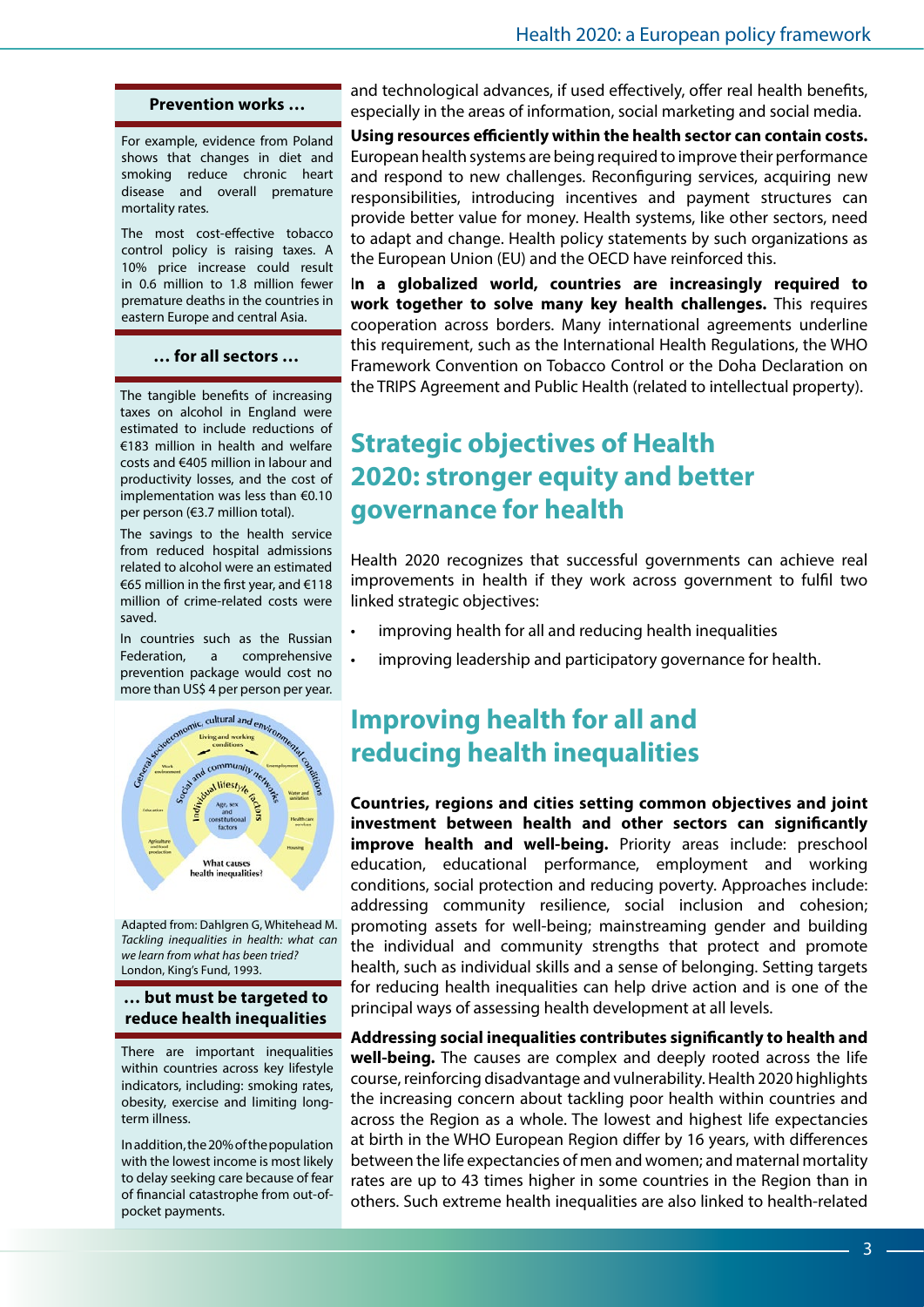### **Prevention works …**

For example, evidence from Poland shows that changes in diet and smoking reduce chronic heart disease and overall premature mortality rates.

The most cost-effective tobacco control policy is raising taxes. A 10% price increase could result in 0.6 million to 1.8 million fewer premature deaths in the countries in eastern Europe and central Asia.

### **… for all sectors …**

The tangible benefits of increasing taxes on alcohol in England were estimated to include reductions of €183 million in health and welfare costs and €405 million in labour and productivity losses, and the cost of implementation was less than €0.10 per person (€3.7 million total).

The savings to the health service from reduced hospital admissions related to alcohol were an estimated €65 million in the first year, and €118 million of crime-related costs were saved.

In countries such as the Russian Federation, a comprehensive prevention package would cost no more than US\$ 4 per person per year.



Adapted from: Dahlgren G, Whitehead M. *Tackling inequalities in health: what can we learn from what has been tried?* London, King's Fund, 1993.

**… but must be targeted to reduce health inequalities**

There are important inequalities within countries across key lifestyle indicators, including: smoking rates, obesity, exercise and limiting longterm illness.

In addition, the 20% of the population with the lowest income is most likely to delay seeking care because of fear of financial catastrophe from out-ofpocket payments.

and technological advances, if used effectively, offer real health benefits, especially in the areas of information, social marketing and social media.

**Using resources efficiently within the health sector can contain costs.** European health systems are being required to improve their performance and respond to new challenges. Reconfiguring services, acquiring new responsibilities, introducing incentives and payment structures can provide better value for money. Health systems, like other sectors, need to adapt and change. Health policy statements by such organizations as the European Union (EU) and the OECD have reinforced this.

I**n a globalized world, countries are increasingly required to work together to solve many key health challenges.** This requires cooperation across borders. Many international agreements underline this requirement, such as the International Health Regulations, the WHO Framework Convention on Tobacco Control or the Doha Declaration on the TRIPS Agreement and Public Health (related to intellectual property).

# **Strategic objectives of Health 2020: stronger equity and better governance for health**

Health 2020 recognizes that successful governments can achieve real improvements in health if they work across government to fulfil two linked strategic objectives:

- improving health for all and reducing health inequalities
- improving leadership and participatory governance for health.

# **Improving health for all and reducing health inequalities**

**Countries, regions and cities setting common objectives and joint investment between health and other sectors can significantly improve health and well-being.** Priority areas include: preschool education, educational performance, employment and working conditions, social protection and reducing poverty. Approaches include: addressing community resilience, social inclusion and cohesion; promoting assets for well-being; mainstreaming gender and building the individual and community strengths that protect and promote health, such as individual skills and a sense of belonging. Setting targets for reducing health inequalities can help drive action and is one of the principal ways of assessing health development at all levels.

**Addressing social inequalities contributes significantly to health and well-being.** The causes are complex and deeply rooted across the life course, reinforcing disadvantage and vulnerability. Health 2020 highlights the increasing concern about tackling poor health within countries and across the Region as a whole. The lowest and highest life expectancies at birth in the WHO European Region differ by 16 years, with differences between the life expectancies of men and women; and maternal mortality rates are up to 43 times higher in some countries in the Region than in others. Such extreme health inequalities are also linked to health-related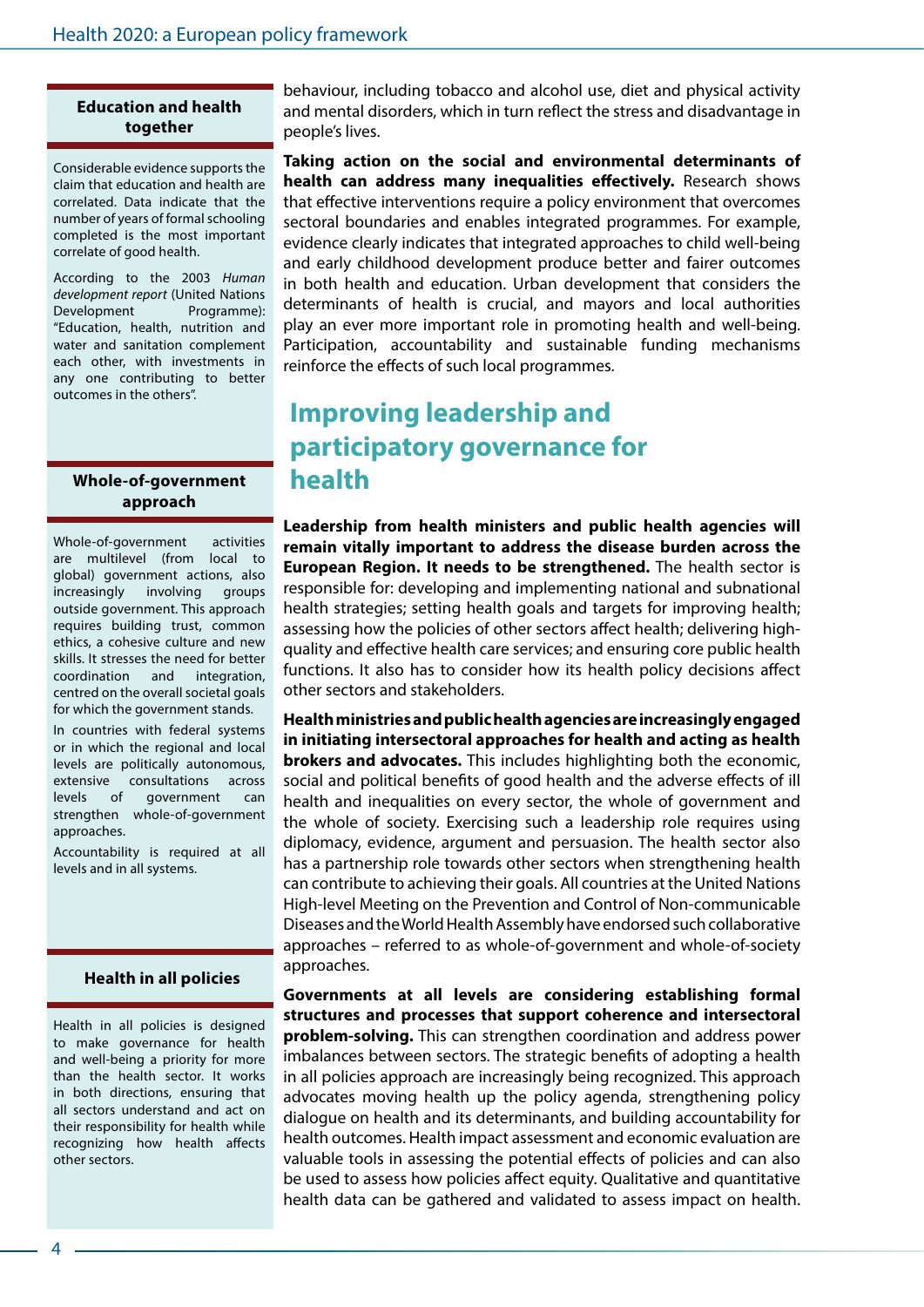### **Education and health together**

Considerable evidence supports the claim that education and health are correlated. Data indicate that the number of years of formal schooling completed is the most important correlate of good health.

According to the 2003 *Human development report* (United Nations Development Programme): "Education, health, nutrition and water and sanitation complement each other, with investments in any one contributing to better outcomes in the others".

### **Whole-of-government approach**

Whole-of-government activities are multilevel (from local to global) government actions, also increasingly involving groups outside government. This approach requires building trust, common ethics, a cohesive culture and new skills. It stresses the need for better coordination and integration, centred on the overall societal goals for which the government stands.

In countries with federal systems or in which the regional and local levels are politically autonomous, extensive consultations across<br>levels of government can levels of government can strengthen whole-of-government approaches.

Accountability is required at all levels and in all systems.

### **Health in all policies**

Health in all policies is designed to make governance for health and well-being a priority for more than the health sector. It works in both directions, ensuring that all sectors understand and act on their responsibility for health while recognizing how health affects other sectors.

behaviour, including tobacco and alcohol use, diet and physical activity and mental disorders, which in turn reflect the stress and disadvantage in people's lives.

**Taking action on the social and environmental determinants of health can address many inequalities effectively.** Research shows that effective interventions require a policy environment that overcomes sectoral boundaries and enables integrated programmes. For example, evidence clearly indicates that integrated approaches to child well-being and early childhood development produce better and fairer outcomes in both health and education. Urban development that considers the determinants of health is crucial, and mayors and local authorities play an ever more important role in promoting health and well-being. Participation, accountability and sustainable funding mechanisms reinforce the effects of such local programmes.

# **Improving leadership and participatory governance for health**

**Leadership from health ministers and public health agencies will remain vitally important to address the disease burden across the European Region. It needs to be strengthened.** The health sector is responsible for: developing and implementing national and subnational health strategies; setting health goals and targets for improving health; assessing how the policies of other sectors affect health; delivering highquality and effective health care services; and ensuring core public health functions. It also has to consider how its health policy decisions affect other sectors and stakeholders.

**Health ministries and public health agencies are increasingly engaged in initiating intersectoral approaches for health and acting as health brokers and advocates.** This includes highlighting both the economic, social and political benefits of good health and the adverse effects of ill health and inequalities on every sector, the whole of government and the whole of society. Exercising such a leadership role requires using diplomacy, evidence, argument and persuasion. The health sector also has a partnership role towards other sectors when strengthening health can contribute to achieving their goals. All countries at the United Nations High-level Meeting on the Prevention and Control of Non-communicable Diseases and the World Health Assembly have endorsed such collaborative approaches – referred to as whole-of-government and whole-of-society approaches.

**Governments at all levels are considering establishing formal structures and processes that support coherence and intersectoral problem-solving.** This can strengthen coordination and address power imbalances between sectors. The strategic benefits of adopting a health in all policies approach are increasingly being recognized. This approach advocates moving health up the policy agenda, strengthening policy dialogue on health and its determinants, and building accountability for health outcomes. Health impact assessment and economic evaluation are valuable tools in assessing the potential effects of policies and can also be used to assess how policies affect equity. Qualitative and quantitative health data can be gathered and validated to assess impact on health.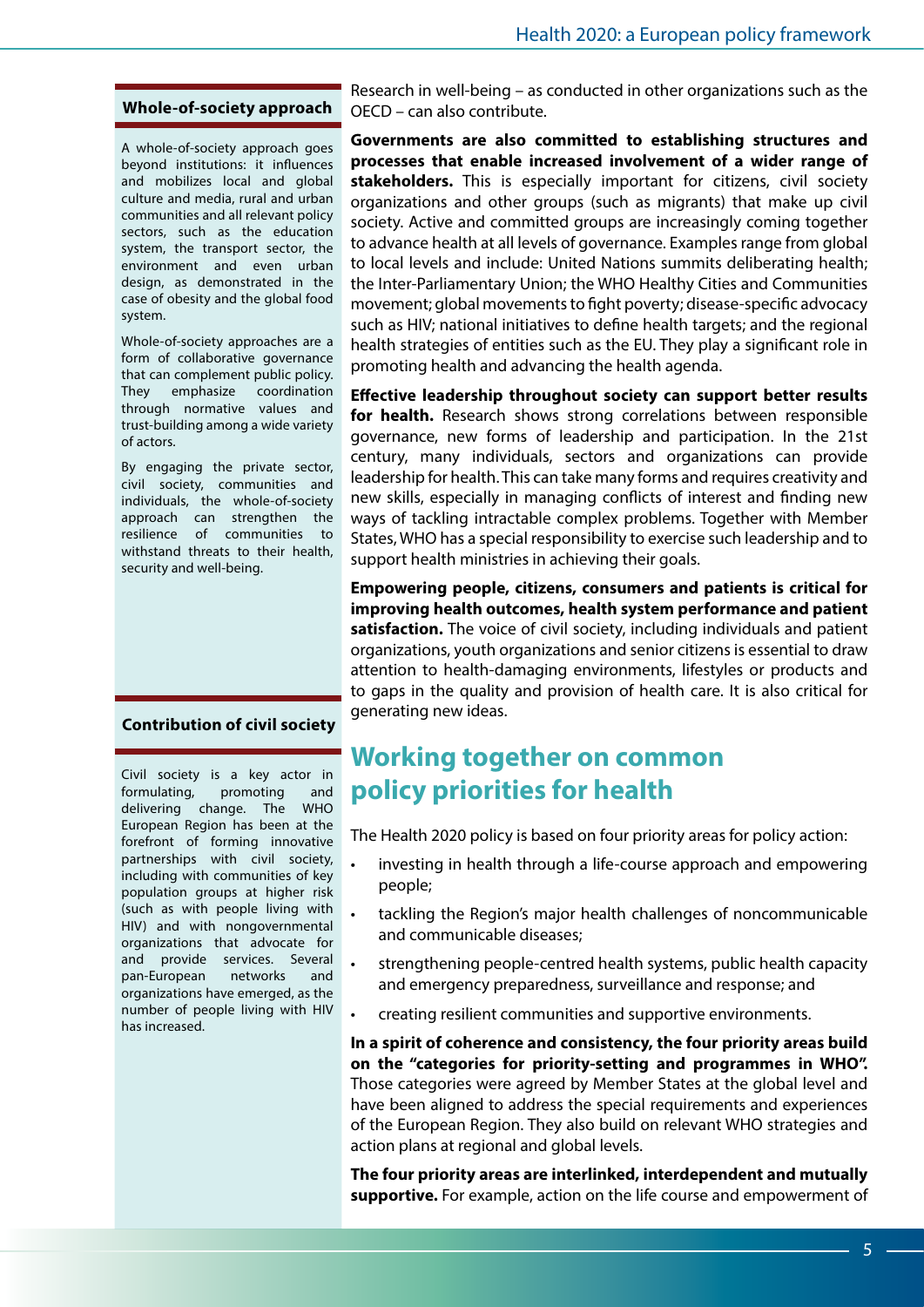### **Whole-of-society approach**

A whole-of-society approach goes beyond institutions: it influences and mobilizes local and global culture and media, rural and urban communities and all relevant policy sectors, such as the education system, the transport sector, the environment and even urban design, as demonstrated in the case of obesity and the global food system.

Whole-of-society approaches are a form of collaborative governance that can complement public policy. They emphasize coordination through normative values and trust-building among a wide variety of actors.

By engaging the private sector, civil society, communities and individuals, the whole-of-society approach can strengthen the resilience of communities to withstand threats to their health, security and well-being.

### **Contribution of civil society**

Civil society is a key actor in formulating, promoting and delivering change. The WHO European Region has been at the forefront of forming innovative partnerships with civil society, including with communities of key population groups at higher risk (such as with people living with HIV) and with nongovernmental organizations that advocate for and provide services. Several pan-European networks and organizations have emerged, as the number of people living with HIV has increased.

Research in well-being – as conducted in other organizations such as the OECD – can also contribute.

**Governments are also committed to establishing structures and processes that enable increased involvement of a wider range of stakeholders.** This is especially important for citizens, civil society organizations and other groups (such as migrants) that make up civil society. Active and committed groups are increasingly coming together to advance health at all levels of governance. Examples range from global to local levels and include: United Nations summits deliberating health; the Inter-Parliamentary Union; the WHO Healthy Cities and Communities movement; global movements to fight poverty; disease-specific advocacy such as HIV; national initiatives to define health targets; and the regional health strategies of entities such as the EU. They play a significant role in promoting health and advancing the health agenda.

**Effective leadership throughout society can support better results for health.** Research shows strong correlations between responsible governance, new forms of leadership and participation. In the 21st century, many individuals, sectors and organizations can provide leadership for health. This can take many forms and requires creativity and new skills, especially in managing conflicts of interest and finding new ways of tackling intractable complex problems. Together with Member States, WHO has a special responsibility to exercise such leadership and to support health ministries in achieving their goals.

**Empowering people, citizens, consumers and patients is critical for improving health outcomes, health system performance and patient satisfaction.** The voice of civil society, including individuals and patient organizations, youth organizations and senior citizens is essential to draw attention to health-damaging environments, lifestyles or products and to gaps in the quality and provision of health care. It is also critical for generating new ideas.

# **Working together on common policy priorities for health**

The Health 2020 policy is based on four priority areas for policy action:

- investing in health through a life-course approach and empowering people;
- tackling the Region's major health challenges of noncommunicable and communicable diseases;
- strengthening people-centred health systems, public health capacity and emergency preparedness, surveillance and response; and
- creating resilient communities and supportive environments.

**In a spirit of coherence and consistency, the four priority areas build on the "categories for priority-setting and programmes in WHO".** Those categories were agreed by Member States at the global level and have been aligned to address the special requirements and experiences of the European Region. They also build on relevant WHO strategies and action plans at regional and global levels.

**The four priority areas are interlinked, interdependent and mutually supportive.** For example, action on the life course and empowerment of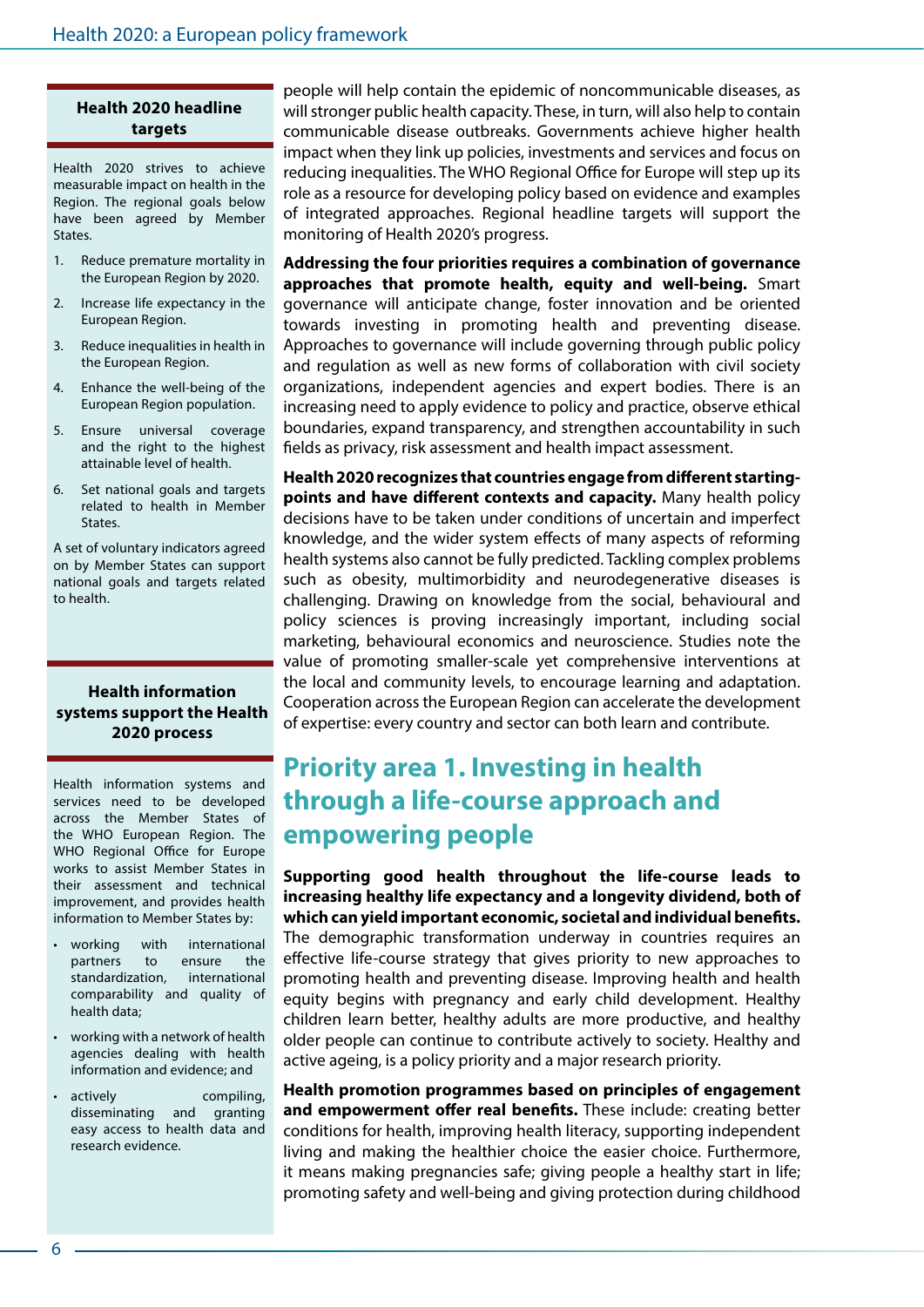### **Health 2020 headline targets**

Health 2020 strives to achieve measurable impact on health in the Region. The regional goals below have been agreed by Member **States** 

- 1. Reduce premature mortality in the European Region by 2020.
- 2. Increase life expectancy in the European Region.
- 3. Reduce inequalities in health in the European Region.
- 4. Enhance the well-being of the European Region population.
- 5. Ensure universal coverage and the right to the highest attainable level of health.
- 6. Set national goals and targets related to health in Member **States**

A set of voluntary indicators agreed on by Member States can support national goals and targets related to health.

### **Health information systems support the Health 2020 process**

Health information systems and services need to be developed across the Member States of the WHO European Region. The WHO Regional Office for Europe works to assist Member States in their assessment and technical improvement, and provides health information to Member States by:

- • working with international partners to ensure the standardization, international comparability and quality of health data;
- • working with a network of health agencies dealing with health information and evidence; and
- actively compiling, disseminating and granting easy access to health data and research evidence.

people will help contain the epidemic of noncommunicable diseases, as will stronger public health capacity. These, in turn, will also help to contain communicable disease outbreaks. Governments achieve higher health impact when they link up policies, investments and services and focus on reducing inequalities. The WHO Regional Office for Europe will step up its role as a resource for developing policy based on evidence and examples of integrated approaches. Regional headline targets will support the monitoring of Health 2020's progress.

**Addressing the four priorities requires a combination of governance approaches that promote health, equity and well-being.** Smart governance will anticipate change, foster innovation and be oriented towards investing in promoting health and preventing disease. Approaches to governance will include governing through public policy and regulation as well as new forms of collaboration with civil society organizations, independent agencies and expert bodies. There is an increasing need to apply evidence to policy and practice, observe ethical boundaries, expand transparency, and strengthen accountability in such fields as privacy, risk assessment and health impact assessment.

**Health 2020 recognizes that countries engage from different startingpoints and have different contexts and capacity.** Many health policy decisions have to be taken under conditions of uncertain and imperfect knowledge, and the wider system effects of many aspects of reforming health systems also cannot be fully predicted. Tackling complex problems such as obesity, multimorbidity and neurodegenerative diseases is challenging. Drawing on knowledge from the social, behavioural and policy sciences is proving increasingly important, including social marketing, behavioural economics and neuroscience. Studies note the value of promoting smaller-scale yet comprehensive interventions at the local and community levels, to encourage learning and adaptation. Cooperation across the European Region can accelerate the development of expertise: every country and sector can both learn and contribute.

# **Priority area 1. Investing in health through a life-course approach and empowering people**

**Supporting good health throughout the life-course leads to increasing healthy life expectancy and a longevity dividend, both of which can yield important economic, societal and individual benefits.** The demographic transformation underway in countries requires an effective life-course strategy that gives priority to new approaches to promoting health and preventing disease. Improving health and health equity begins with pregnancy and early child development. Healthy children learn better, healthy adults are more productive, and healthy older people can continue to contribute actively to society. Healthy and active ageing, is a policy priority and a major research priority.

**Health promotion programmes based on principles of engagement and empowerment offer real benefits.** These include: creating better conditions for health, improving health literacy, supporting independent living and making the healthier choice the easier choice. Furthermore, it means making pregnancies safe; giving people a healthy start in life; promoting safety and well-being and giving protection during childhood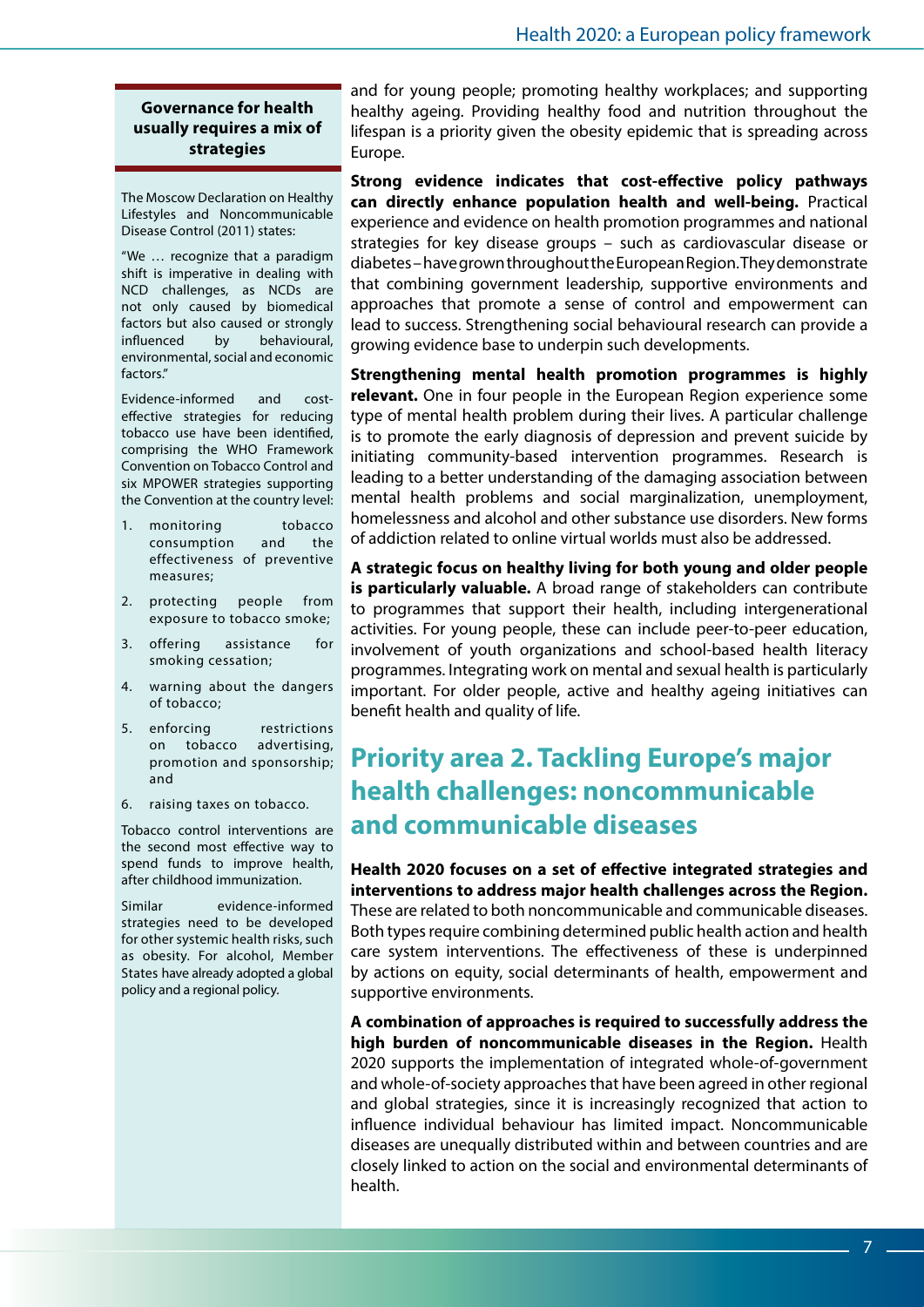### **Governance for health usually requires a mix of strategies**

The Moscow Declaration on Healthy Lifestyles and Noncommunicable Disease Control (2011) states:

"We … recognize that a paradigm shift is imperative in dealing with NCD challenges, as NCDs are not only caused by biomedical factors but also caused or strongly influenced by behavioural, environmental, social and economic factors."

Evidence-informed and costeffective strategies for reducing tobacco use have been identified, comprising the WHO Framework Convention on Tobacco Control and six MPOWER strategies supporting the Convention at the country level:

- 1. monitoring tobacco consumption and the effectiveness of preventive measures;
- 2. protecting people from exposure to tobacco smoke;
- 3. offering assistance for smoking cessation;
- 4. warning about the dangers of tobacco;
- 5. enforcing restrictions on tobacco advertising, promotion and sponsorship; and
- 6. raising taxes on tobacco.

Tobacco control interventions are the second most effective way to spend funds to improve health, after childhood immunization.

Similar evidence-informed strategies need to be developed for other systemic health risks, such as obesity. For alcohol, Member States have already adopted a global policy and a regional policy.

and for young people; promoting healthy workplaces; and supporting healthy ageing. Providing healthy food and nutrition throughout the lifespan is a priority given the obesity epidemic that is spreading across Europe.

**Strong evidence indicates that cost-effective policy pathways can directly enhance population health and well-being.** Practical experience and evidence on health promotion programmes and national strategies for key disease groups – such as cardiovascular disease or diabetes – have grown throughout the European Region. They demonstrate that combining government leadership, supportive environments and approaches that promote a sense of control and empowerment can lead to success. Strengthening social behavioural research can provide a growing evidence base to underpin such developments.

**Strengthening mental health promotion programmes is highly relevant.** One in four people in the European Region experience some type of mental health problem during their lives. A particular challenge is to promote the early diagnosis of depression and prevent suicide by initiating community-based intervention programmes. Research is leading to a better understanding of the damaging association between mental health problems and social marginalization, unemployment, homelessness and alcohol and other substance use disorders. New forms of addiction related to online virtual worlds must also be addressed.

**A strategic focus on healthy living for both young and older people is particularly valuable.** A broad range of stakeholders can contribute to programmes that support their health, including intergenerational activities. For young people, these can include peer-to-peer education, involvement of youth organizations and school-based health literacy programmes. Integrating work on mental and sexual health is particularly important. For older people, active and healthy ageing initiatives can benefit health and quality of life.

# **Priority area 2. Tackling Europe's major health challenges: noncommunicable and communicable diseases**

**Health 2020 focuses on a set of effective integrated strategies and interventions to address major health challenges across the Region.**  These are related to both noncommunicable and communicable diseases. Both types require combining determined public health action and health care system interventions. The effectiveness of these is underpinned by actions on equity, social determinants of health, empowerment and supportive environments.

**A combination of approaches is required to successfully address the high burden of noncommunicable diseases in the Region.** Health 2020 supports the implementation of integrated whole-of-government and whole-of-society approaches that have been agreed in other regional and global strategies, since it is increasingly recognized that action to influence individual behaviour has limited impact. Noncommunicable diseases are unequally distributed within and between countries and are closely linked to action on the social and environmental determinants of health.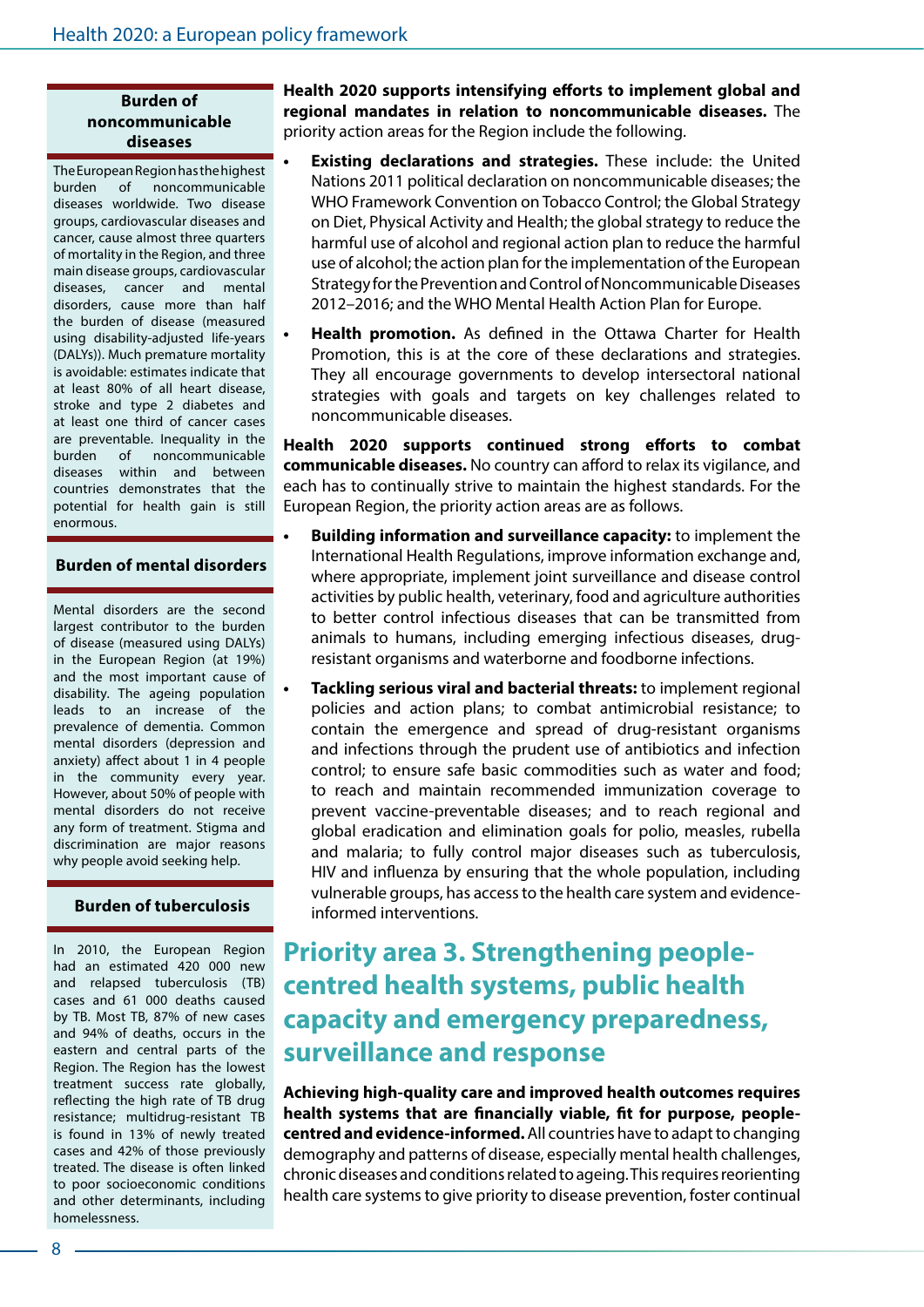### **Burden of noncommunicable diseases**

The European Region has the highest burden of noncommunicable diseases worldwide. Two disease groups, cardiovascular diseases and cancer, cause almost three quarters of mortality in the Region, and three main disease groups, cardiovascular diseases, cancer and mental disorders, cause more than half the burden of disease (measured using disability-adjusted life-years (DALYs)). Much premature mortality is avoidable: estimates indicate that at least 80% of all heart disease, stroke and type 2 diabetes and at least one third of cancer cases are preventable. Inequality in the burden of noncommunicable diseases within and between countries demonstrates that the potential for health gain is still enormous.

### **Burden of mental disorders**

Mental disorders are the second largest contributor to the burden of disease (measured using DALYs) in the European Region (at 19%) and the most important cause of disability. The ageing population leads to an increase of the prevalence of dementia. Common mental disorders (depression and anxiety) affect about 1 in 4 people in the community every year. However, about 50% of people with mental disorders do not receive any form of treatment. Stigma and discrimination are major reasons why people avoid seeking help.

### **Burden of tuberculosis**

In 2010, the European Region had an estimated 420 000 new and relapsed tuberculosis (TB) cases and 61 000 deaths caused by TB. Most TB, 87% of new cases and 94% of deaths, occurs in the eastern and central parts of the Region. The Region has the lowest treatment success rate globally, reflecting the high rate of TB drug resistance; multidrug-resistant TB is found in 13% of newly treated cases and 42% of those previously treated. The disease is often linked to poor socioeconomic conditions and other determinants, including homelessness.

**Health 2020 supports intensifying efforts to implement global and regional mandates in relation to noncommunicable diseases.** The priority action areas for the Region include the following.

- **Existing declarations and strategies.** These include: the United Nations 2011 political declaration on noncommunicable diseases; the WHO Framework Convention on Tobacco Control: the Global Strategy on Diet, Physical Activity and Health; the global strategy to reduce the harmful use of alcohol and regional action plan to reduce the harmful use of alcohol; the action plan for the implementation of the European Strategy for the Prevention and Control of Noncommunicable Diseases 2012–2016; and the WHO Mental Health Action Plan for Europe.
- **Health promotion.** As defined in the Ottawa Charter for Health Promotion, this is at the core of these declarations and strategies. They all encourage governments to develop intersectoral national strategies with goals and targets on key challenges related to noncommunicable diseases.

**Health 2020 supports continued strong efforts to combat communicable diseases.** No country can afford to relax its vigilance, and each has to continually strive to maintain the highest standards. For the European Region, the priority action areas are as follows.

- **Building information and surveillance capacity:** to implement the International Health Regulations, improve information exchange and, where appropriate, implement joint surveillance and disease control activities by public health, veterinary, food and agriculture authorities to better control infectious diseases that can be transmitted from animals to humans, including emerging infectious diseases, drugresistant organisms and waterborne and foodborne infections.
- **Tackling serious viral and bacterial threats:** to implement regional policies and action plans; to combat antimicrobial resistance; to contain the emergence and spread of drug-resistant organisms and infections through the prudent use of antibiotics and infection control; to ensure safe basic commodities such as water and food; to reach and maintain recommended immunization coverage to prevent vaccine-preventable diseases; and to reach regional and global eradication and elimination goals for polio, measles, rubella and malaria; to fully control major diseases such as tuberculosis, HIV and influenza by ensuring that the whole population, including vulnerable groups, has access to the health care system and evidenceinformed interventions.

# **Priority area 3. Strengthening peoplecentred health systems, public health capacity and emergency preparedness, surveillance and response**

**Achieving high-quality care and improved health outcomes requires health systems that are financially viable, fit for purpose, peoplecentred and evidence-informed.** All countries have to adapt to changing demography and patterns of disease, especially mental health challenges, chronic diseases and conditions related to ageing. This requires reorienting health care systems to give priority to disease prevention, foster continual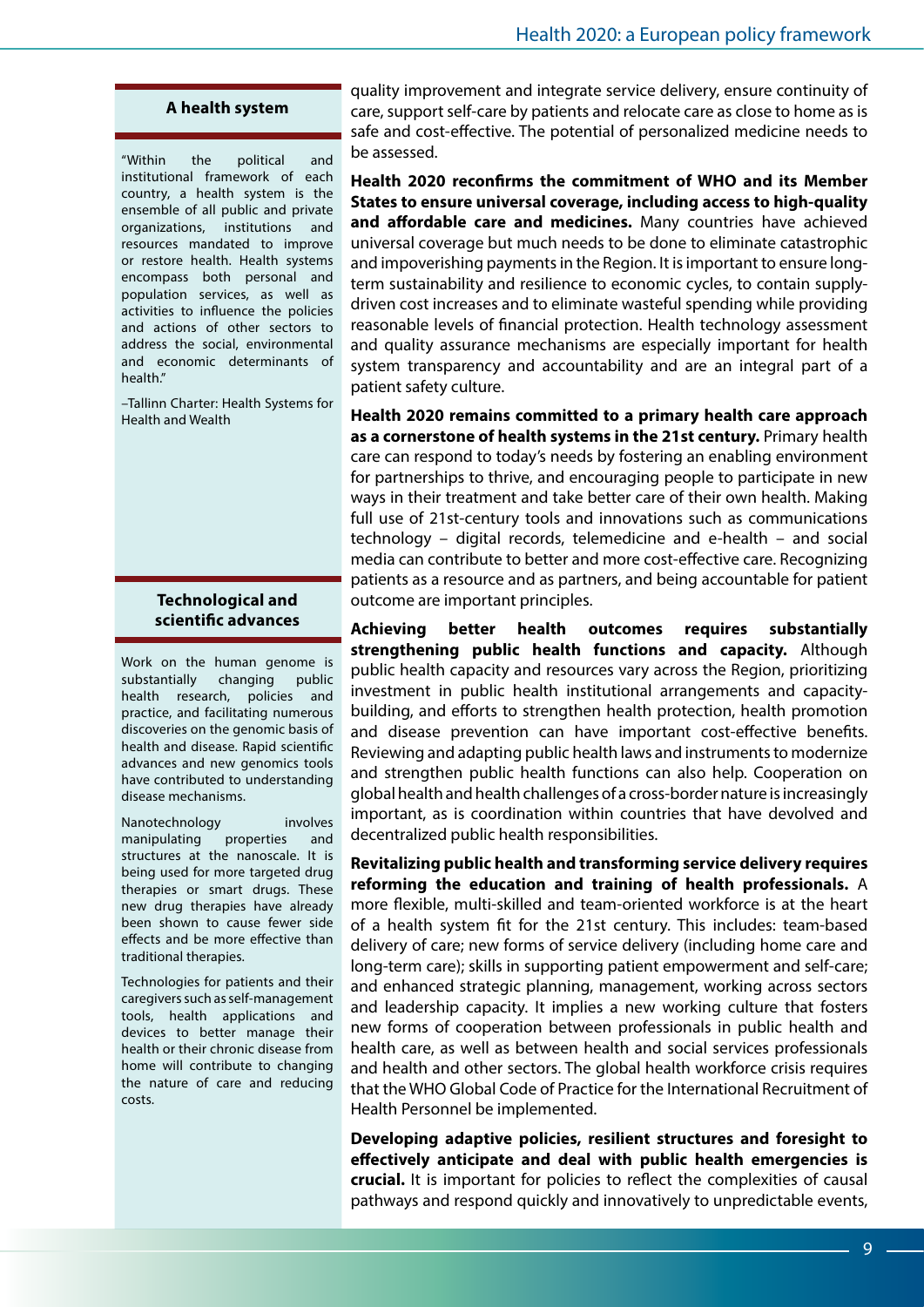### **A health system**

"Within the political and institutional framework of each country, a health system is the ensemble of all public and private organizations, institutions and resources mandated to improve or restore health. Health systems encompass both personal and population services, as well as activities to influence the policies and actions of other sectors to address the social, environmental and economic determinants of health."

–Tallinn Charter: Health Systems for Health and Wealth

### **Technological and scientific advances**

Work on the human genome is substantially changing public health research, policies and practice, and facilitating numerous discoveries on the genomic basis of health and disease. Rapid scientific advances and new genomics tools have contributed to understanding disease mechanisms.

Nanotechnology involves manipulating properties and structures at the nanoscale. It is being used for more targeted drug therapies or smart drugs. These new drug therapies have already been shown to cause fewer side effects and be more effective than traditional therapies.

Technologies for patients and their caregivers such as self-management tools, health applications and devices to better manage their health or their chronic disease from home will contribute to changing the nature of care and reducing costs.

quality improvement and integrate service delivery, ensure continuity of care, support self-care by patients and relocate care as close to home as is safe and cost-effective. The potential of personalized medicine needs to be assessed.

**Health 2020 reconfirms the commitment of WHO and its Member States to ensure universal coverage, including access to high-quality and affordable care and medicines.** Many countries have achieved universal coverage but much needs to be done to eliminate catastrophic and impoverishing payments in the Region. It is important to ensure longterm sustainability and resilience to economic cycles, to contain supplydriven cost increases and to eliminate wasteful spending while providing reasonable levels of financial protection. Health technology assessment and quality assurance mechanisms are especially important for health system transparency and accountability and are an integral part of a patient safety culture.

**Health 2020 remains committed to a primary health care approach as a cornerstone of health systems in the 21st century.** Primary health care can respond to today's needs by fostering an enabling environment for partnerships to thrive, and encouraging people to participate in new ways in their treatment and take better care of their own health. Making full use of 21st-century tools and innovations such as communications technology – digital records, telemedicine and e-health – and social media can contribute to better and more cost-effective care. Recognizing patients as a resource and as partners, and being accountable for patient outcome are important principles.

**Achieving better health outcomes requires substantially strengthening public health functions and capacity.** Although public health capacity and resources vary across the Region, prioritizing investment in public health institutional arrangements and capacitybuilding, and efforts to strengthen health protection, health promotion and disease prevention can have important cost-effective benefits. Reviewing and adapting public health laws and instruments to modernize and strengthen public health functions can also help. Cooperation on global health and health challenges of a cross-border nature is increasingly important, as is coordination within countries that have devolved and decentralized public health responsibilities.

**Revitalizing public health and transforming service delivery requires reforming the education and training of health professionals.** A more flexible, multi-skilled and team-oriented workforce is at the heart of a health system fit for the 21st century. This includes: team-based delivery of care; new forms of service delivery (including home care and long-term care); skills in supporting patient empowerment and self-care; and enhanced strategic planning, management, working across sectors and leadership capacity. It implies a new working culture that fosters new forms of cooperation between professionals in public health and health care, as well as between health and social services professionals and health and other sectors. The global health workforce crisis requires that the WHO Global Code of Practice for the International Recruitment of Health Personnel be implemented.

**Developing adaptive policies, resilient structures and foresight to effectively anticipate and deal with public health emergencies is crucial.** It is important for policies to reflect the complexities of causal pathways and respond quickly and innovatively to unpredictable events,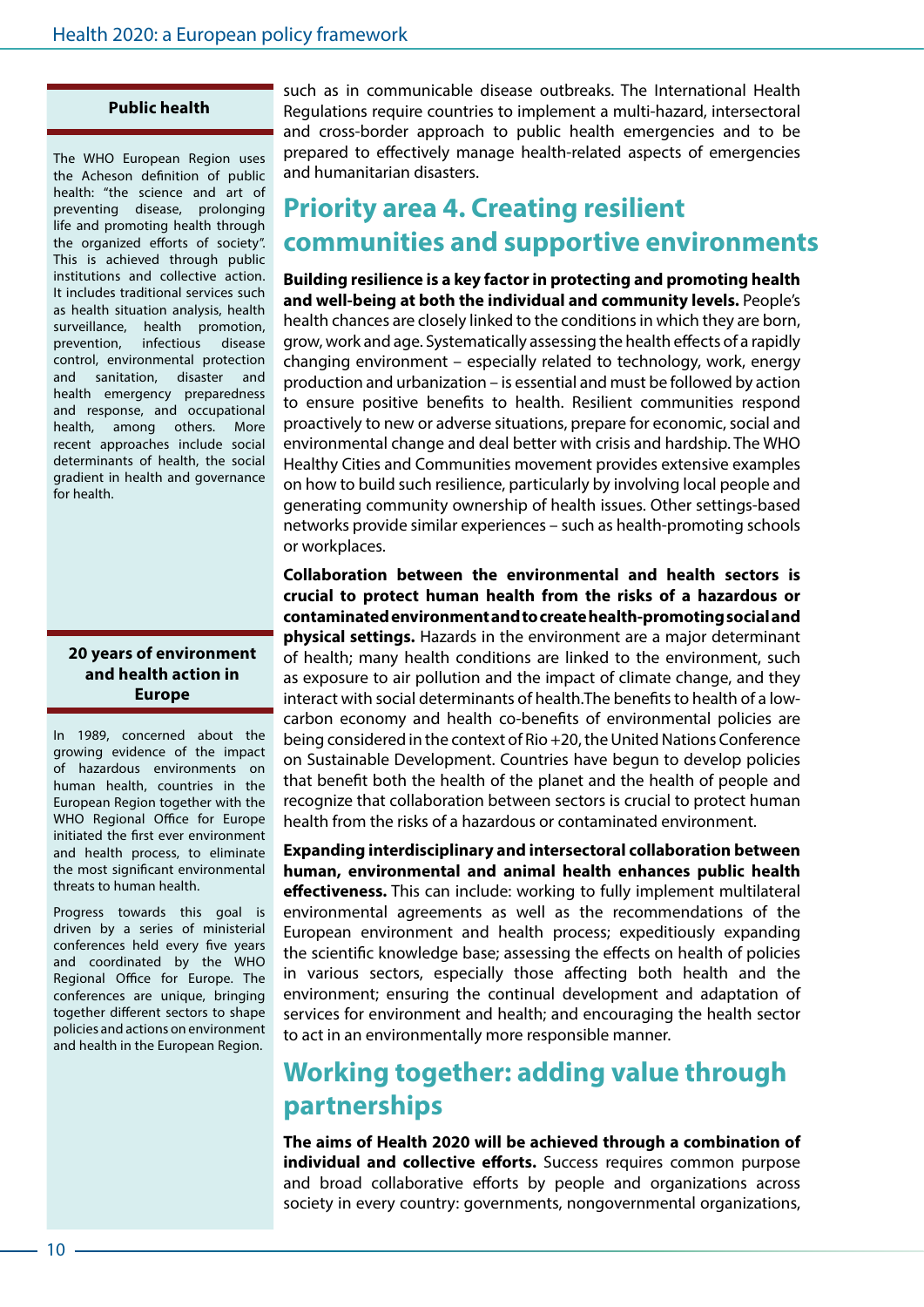### **Public health**

The WHO European Region uses the Acheson definition of public health: "the science and art of preventing disease, prolonging life and promoting health through the organized efforts of society". This is achieved through public institutions and collective action. It includes traditional services such as health situation analysis, health surveillance, health promotion, prevention, infectious disease control, environmental protection and sanitation, disaster and health emergency preparedness and response, and occupational health, among others. More recent approaches include social determinants of health, the social gradient in health and governance for health.

### **20 years of environment and health action in Europe**

In 1989, concerned about the growing evidence of the impact of hazardous environments on human health, countries in the European Region together with the WHO Regional Office for Europe initiated the first ever environment and health process, to eliminate the most significant environmental threats to human health.

Progress towards this goal is driven by a series of ministerial conferences held every five years and coordinated by the WHO Regional Office for Europe. The conferences are unique, bringing together different sectors to shape policies and actions on environment and health in the European Region.

such as in communicable disease outbreaks. The International Health Regulations require countries to implement a multi-hazard, intersectoral and cross-border approach to public health emergencies and to be prepared to effectively manage health-related aspects of emergencies and humanitarian disasters.

# **Priority area 4. Creating resilient communities and supportive environments**

**Building resilience is a key factor in protecting and promoting health and well-being at both the individual and community levels.** People's health chances are closely linked to the conditions in which they are born, grow, work and age. Systematically assessing the health effects of a rapidly changing environment – especially related to technology, work, energy production and urbanization – is essential and must be followed by action to ensure positive benefits to health. Resilient communities respond proactively to new or adverse situations, prepare for economic, social and environmental change and deal better with crisis and hardship. The WHO Healthy Cities and Communities movement provides extensive examples on how to build such resilience, particularly by involving local people and generating community ownership of health issues. Other settings-based networks provide similar experiences – such as health-promoting schools or workplaces.

**Collaboration between the environmental and health sectors is crucial to protect human health from the risks of a hazardous or contaminated environment and to create health-promoting social and physical settings.** Hazards in the environment are a major determinant of health; many health conditions are linked to the environment, such as exposure to air pollution and the impact of climate change, and they interact with social determinants of health.The benefits to health of a lowcarbon economy and health co-benefits of environmental policies are being considered in the context of Rio +20, the United Nations Conference on Sustainable Development. Countries have begun to develop policies that benefit both the health of the planet and the health of people and recognize that collaboration between sectors is crucial to protect human health from the risks of a hazardous or contaminated environment.

**Expanding interdisciplinary and intersectoral collaboration between human, environmental and animal health enhances public health effectiveness.** This can include: working to fully implement multilateral environmental agreements as well as the recommendations of the European environment and health process; expeditiously expanding the scientific knowledge base; assessing the effects on health of policies in various sectors, especially those affecting both health and the environment; ensuring the continual development and adaptation of services for environment and health; and encouraging the health sector to act in an environmentally more responsible manner.

# **Working together: adding value through partnerships**

**The aims of Health 2020 will be achieved through a combination of individual and collective efforts.** Success requires common purpose and broad collaborative efforts by people and organizations across society in every country: governments, nongovernmental organizations,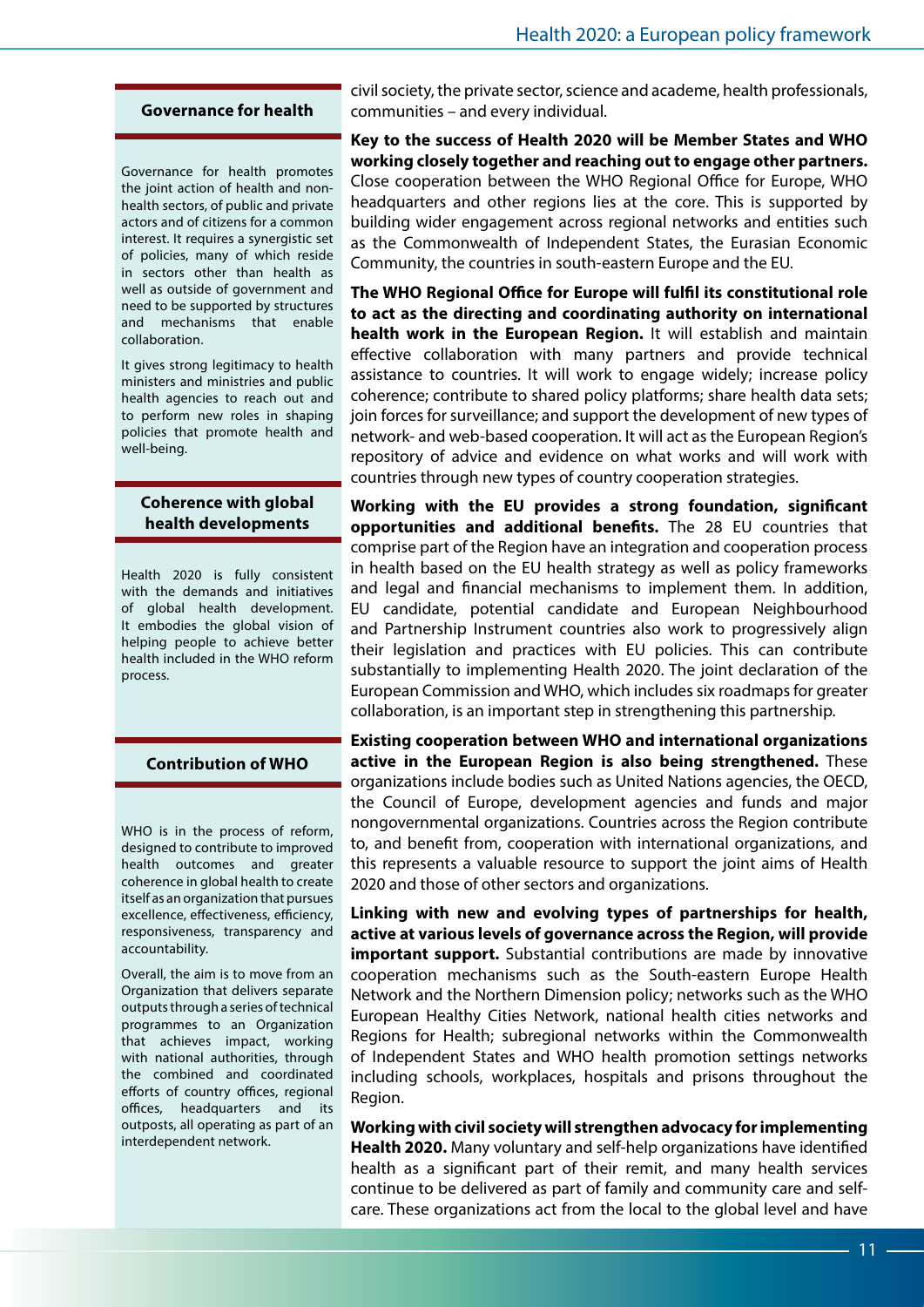### **Governance for health**

Governance for health promotes the joint action of health and nonhealth sectors, of public and private actors and of citizens for a common interest. It requires a synergistic set of policies, many of which reside in sectors other than health as well as outside of government and need to be supported by structures and mechanisms that enable collaboration.

It gives strong legitimacy to health ministers and ministries and public health agencies to reach out and to perform new roles in shaping policies that promote health and well-being.

### **Coherence with global health developments**

Health 2020 is fully consistent with the demands and initiatives of global health development. It embodies the global vision of helping people to achieve better health included in the WHO reform process.

### **Contribution of WHO**

WHO is in the process of reform, designed to contribute to improved health outcomes and greater coherence in global health to create itself as an organization that pursues excellence, effectiveness, efficiency, responsiveness, transparency and accountability.

Overall, the aim is to move from an Organization that delivers separate outputs through a series of technical programmes to an Organization that achieves impact, working with national authorities, through the combined and coordinated efforts of country offices, regional offices, headquarters and its outposts, all operating as part of an interdependent network.

civil society, the private sector, science and academe, health professionals, communities – and every individual.

**Key to the success of Health 2020 will be Member States and WHO working closely together and reaching out to engage other partners.** Close cooperation between the WHO Regional Office for Europe, WHO headquarters and other regions lies at the core. This is supported by building wider engagement across regional networks and entities such as the Commonwealth of Independent States, the Eurasian Economic Community, the countries in south-eastern Europe and the EU.

**The WHO Regional Office for Europe will fulfil its constitutional role to act as the directing and coordinating authority on international health work in the European Region.** It will establish and maintain effective collaboration with many partners and provide technical assistance to countries. It will work to engage widely; increase policy coherence; contribute to shared policy platforms; share health data sets; join forces for surveillance; and support the development of new types of network- and web-based cooperation. It will act as the European Region's repository of advice and evidence on what works and will work with countries through new types of country cooperation strategies.

**Working with the EU provides a strong foundation, significant opportunities and additional benefits.** The 28 EU countries that comprise part of the Region have an integration and cooperation process in health based on the EU health strategy as well as policy frameworks and legal and financial mechanisms to implement them. In addition, EU candidate, potential candidate and European Neighbourhood and Partnership Instrument countries also work to progressively align their legislation and practices with EU policies. This can contribute substantially to implementing Health 2020. The joint declaration of the European Commission and WHO, which includes six roadmaps for greater collaboration, is an important step in strengthening this partnership.

**Existing cooperation between WHO and international organizations active in the European Region is also being strengthened.** These organizations include bodies such as United Nations agencies, the OECD, the Council of Europe, development agencies and funds and major nongovernmental organizations. Countries across the Region contribute to, and benefit from, cooperation with international organizations, and this represents a valuable resource to support the joint aims of Health 2020 and those of other sectors and organizations.

**Linking with new and evolving types of partnerships for health, active at various levels of governance across the Region, will provide important support.** Substantial contributions are made by innovative cooperation mechanisms such as the South-eastern Europe Health Network and the Northern Dimension policy; networks such as the WHO European Healthy Cities Network, national health cities networks and Regions for Health; subregional networks within the Commonwealth of Independent States and WHO health promotion settings networks including schools, workplaces, hospitals and prisons throughout the Region.

**Working with civil society will strengthen advocacy for implementing Health 2020.** Many voluntary and self-help organizations have identified health as a significant part of their remit, and many health services continue to be delivered as part of family and community care and selfcare. These organizations act from the local to the global level and have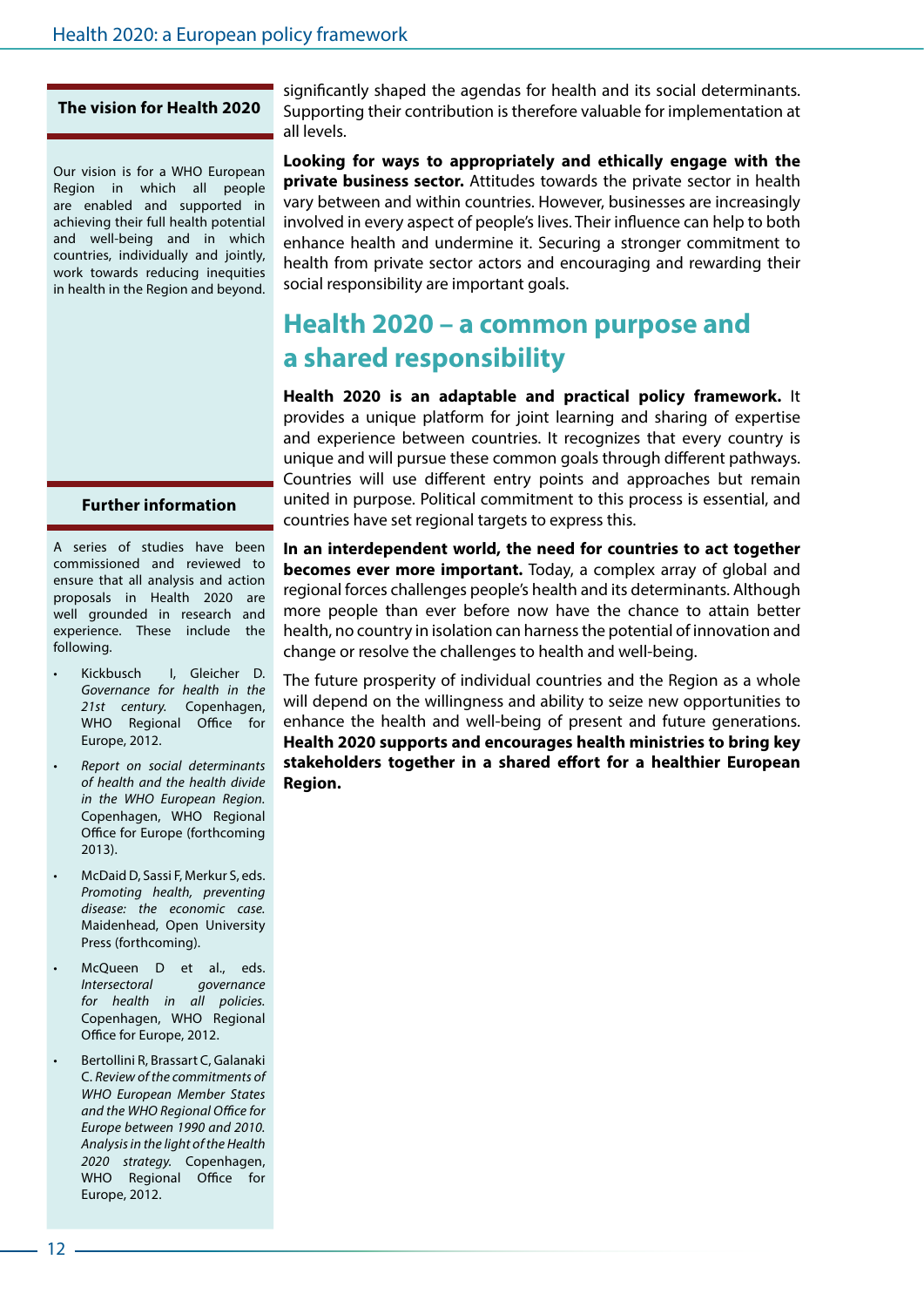### **The vision for Health 2020**

Our vision is for a WHO European Region in which all people are enabled and supported in achieving their full health potential and well-being and in which countries, individually and jointly, work towards reducing inequities in health in the Region and beyond.

### **Further information**

A series of studies have been commissioned and reviewed to ensure that all analysis and action proposals in Health 2020 are well grounded in research and experience. These include the following.

- Kickbusch I, Gleicher D. *Governance for health in the 21st century.* Copenhagen, WHO Regional Office for Europe, 2012.
- • *Report on social determinants of health and the health divide in the WHO European Region.*  Copenhagen, WHO Regional Office for Europe (forthcoming 2013).
- McDaid D, Sassi F, Merkur S, eds. *Promoting health, preventing disease: the economic case.* Maidenhead, Open University Press (forthcoming).
- McOueen D et al., eds. *Intersectoral governance for health in all policies.* Copenhagen, WHO Regional Office for Europe, 2012.
- Bertollini R, Brassart C, Galanaki C. *Review of the commitments of WHO European Member States and the WHO Regional Office for Europe between 1990 and 2010. Analysis in the light of the Health 2020 strategy.* Copenhagen, WHO Regional Office for Europe, 2012.

significantly shaped the agendas for health and its social determinants. Supporting their contribution is therefore valuable for implementation at all levels.

**Looking for ways to appropriately and ethically engage with the private business sector.** Attitudes towards the private sector in health vary between and within countries. However, businesses are increasingly involved in every aspect of people's lives. Their influence can help to both enhance health and undermine it. Securing a stronger commitment to health from private sector actors and encouraging and rewarding their social responsibility are important goals.

# **Health 2020 – a common purpose and a shared responsibility**

**Health 2020 is an adaptable and practical policy framework.** It provides a unique platform for joint learning and sharing of expertise and experience between countries. It recognizes that every country is unique and will pursue these common goals through different pathways. Countries will use different entry points and approaches but remain united in purpose. Political commitment to this process is essential, and countries have set regional targets to express this.

**In an interdependent world, the need for countries to act together becomes ever more important.** Today, a complex array of global and regional forces challenges people's health and its determinants. Although more people than ever before now have the chance to attain better health, no country in isolation can harness the potential of innovation and change or resolve the challenges to health and well-being.

The future prosperity of individual countries and the Region as a whole will depend on the willingness and ability to seize new opportunities to enhance the health and well-being of present and future generations. **Health 2020 supports and encourages health ministries to bring key stakeholders together in a shared effort for a healthier European Region.**